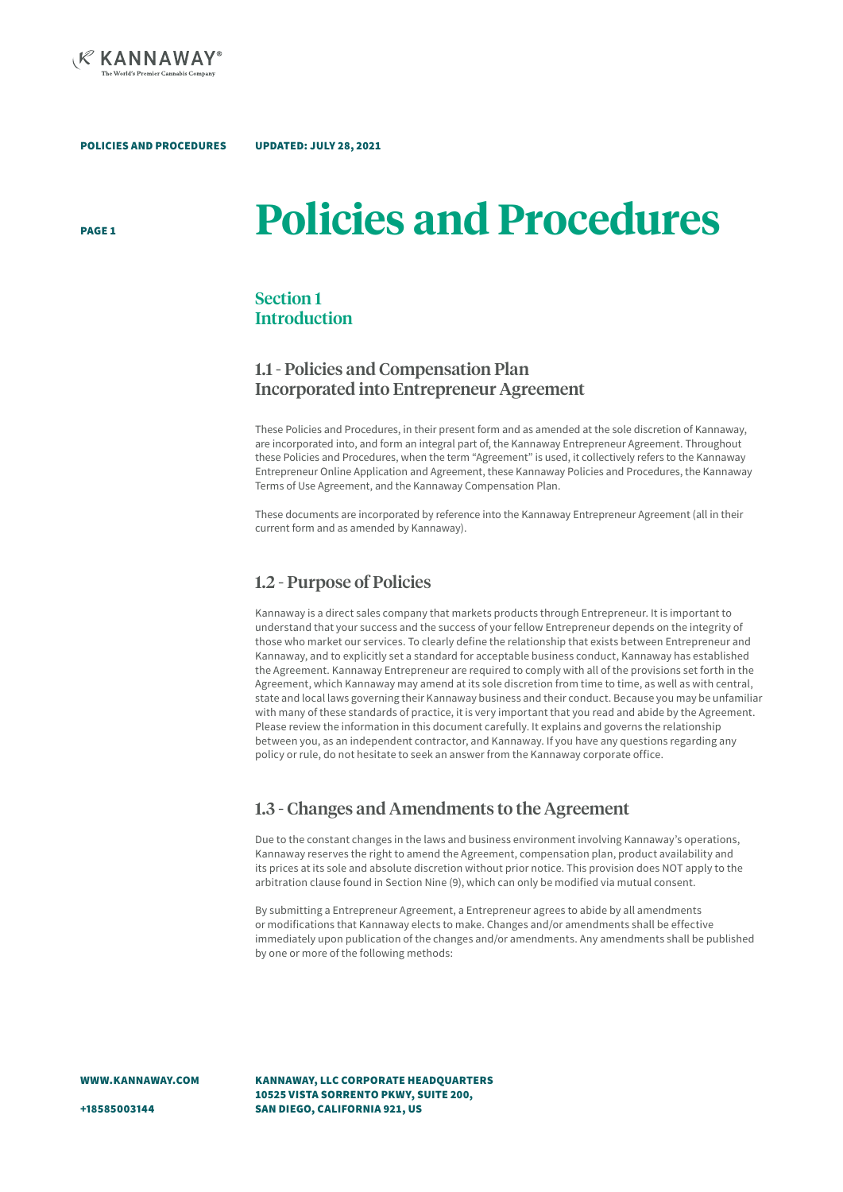

UPDATED: JULY 28, 2021

PAGE 1

# **Policies and Procedures**

## Section 1 **Introduction**

## 1.1 - Policies and Compensation Plan Incorporated into Entrepreneur Agreement

These Policies and Procedures, in their present form and as amended at the sole discretion of Kannaway, are incorporated into, and form an integral part of, the Kannaway Entrepreneur Agreement. Throughout these Policies and Procedures, when the term "Agreement" is used, it collectively refers to the Kannaway Entrepreneur Online Application and Agreement, these Kannaway Policies and Procedures, the Kannaway Terms of Use Agreement, and the Kannaway Compensation Plan.

These documents are incorporated by reference into the Kannaway Entrepreneur Agreement (all in their current form and as amended by Kannaway).

## 1.2 - Purpose of Policies

Kannaway is a direct sales company that markets products through Entrepreneur. It is important to understand that your success and the success of your fellow Entrepreneur depends on the integrity of those who market our services. To clearly define the relationship that exists between Entrepreneur and Kannaway, and to explicitly set a standard for acceptable business conduct, Kannaway has established the Agreement. Kannaway Entrepreneur are required to comply with all of the provisions set forth in the Agreement, which Kannaway may amend at its sole discretion from time to time, as well as with central, state and local laws governing their Kannaway business and their conduct. Because you may be unfamiliar with many of these standards of practice, it is very important that you read and abide by the Agreement. Please review the information in this document carefully. It explains and governs the relationship between you, as an independent contractor, and Kannaway. If you have any questions regarding any policy or rule, do not hesitate to seek an answer from the Kannaway corporate office.

## 1.3 - Changes and Amendments to the Agreement

Due to the constant changes in the laws and business environment involving Kannaway's operations, Kannaway reserves the right to amend the Agreement, compensation plan, product availability and its prices at its sole and absolute discretion without prior notice. This provision does NOT apply to the arbitration clause found in Section Nine (9), which can only be modified via mutual consent.

By submitting a Entrepreneur Agreement, a Entrepreneur agrees to abide by all amendments or modifications that Kannaway elects to make. Changes and/or amendments shall be effective immediately upon publication of the changes and/or amendments. Any amendments shall be published by one or more of the following methods:

WWW.KANNAWAY.COM

KANNAWAY, LLC CORPORATE HEADQUARTERS 10525 VISTA SORRENTO PKWY, SUITE 200, SAN DIEGO, CALIFORNIA 921, US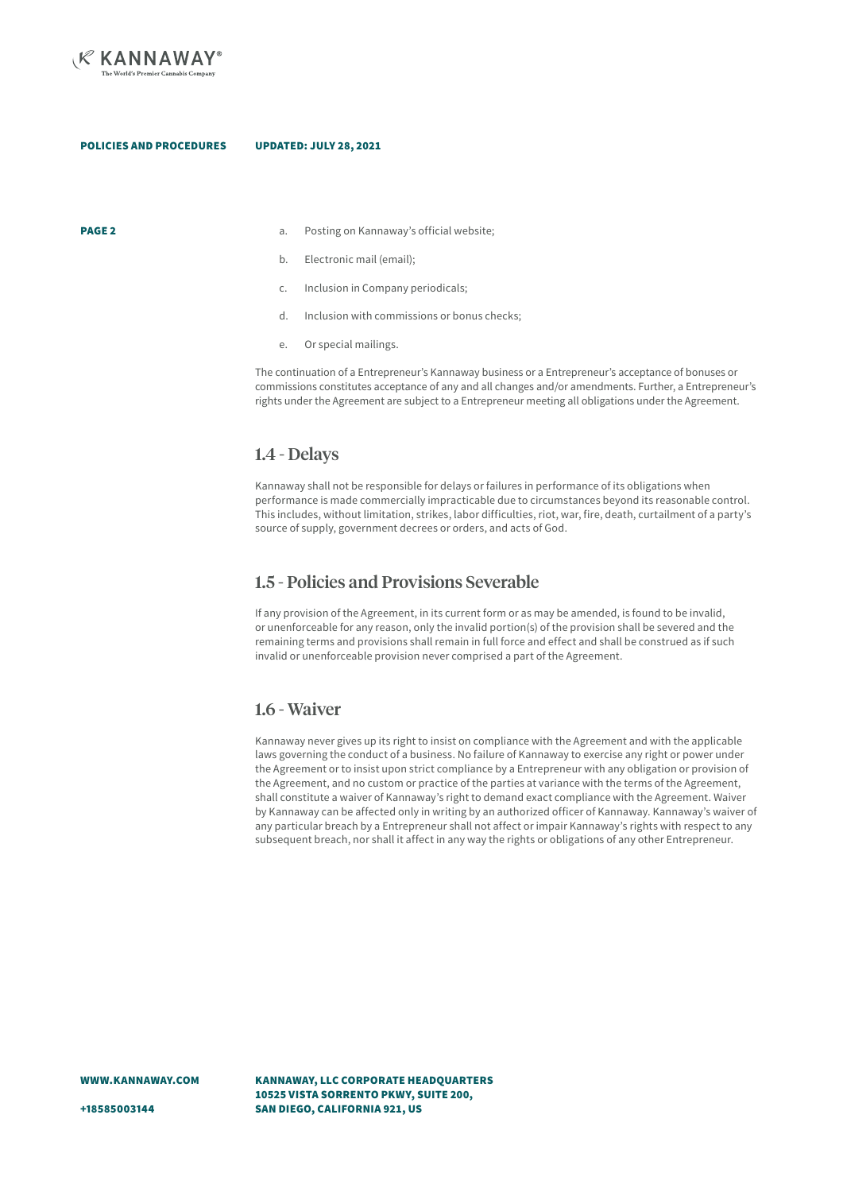

- **PAGE 2 a.** Posting on Kannaway's official website:
	- b. Electronic mail (email);
	- c. Inclusion in Company periodicals;
	- d. Inclusion with commissions or bonus checks;
	- e. Or special mailings.

The continuation of a Entrepreneur's Kannaway business or a Entrepreneur's acceptance of bonuses or commissions constitutes acceptance of any and all changes and/or amendments. Further, a Entrepreneur's rights under the Agreement are subject to a Entrepreneur meeting all obligations under the Agreement.

### 1.4 - Delays

Kannaway shall not be responsible for delays or failures in performance of its obligations when performance is made commercially impracticable due to circumstances beyond its reasonable control. This includes, without limitation, strikes, labor difficulties, riot, war, fire, death, curtailment of a party's source of supply, government decrees or orders, and acts of God.

## 1.5 - Policies and Provisions Severable

If any provision of the Agreement, in its current form or as may be amended, is found to be invalid, or unenforceable for any reason, only the invalid portion(s) of the provision shall be severed and the remaining terms and provisions shall remain in full force and effect and shall be construed as if such invalid or unenforceable provision never comprised a part of the Agreement.

## 1.6 - Waiver

Kannaway never gives up its right to insist on compliance with the Agreement and with the applicable laws governing the conduct of a business. No failure of Kannaway to exercise any right or power under the Agreement or to insist upon strict compliance by a Entrepreneur with any obligation or provision of the Agreement, and no custom or practice of the parties at variance with the terms of the Agreement, shall constitute a waiver of Kannaway's right to demand exact compliance with the Agreement. Waiver by Kannaway can be affected only in writing by an authorized officer of Kannaway. Kannaway's waiver of any particular breach by a Entrepreneur shall not affect or impair Kannaway's rights with respect to any subsequent breach, nor shall it affect in any way the rights or obligations of any other Entrepreneur.

KANNAWAY, LLC CORPORATE HEADQUARTERS 10525 VISTA SORRENTO PKWY, SUITE 200, SAN DIEGO, CALIFORNIA 921, US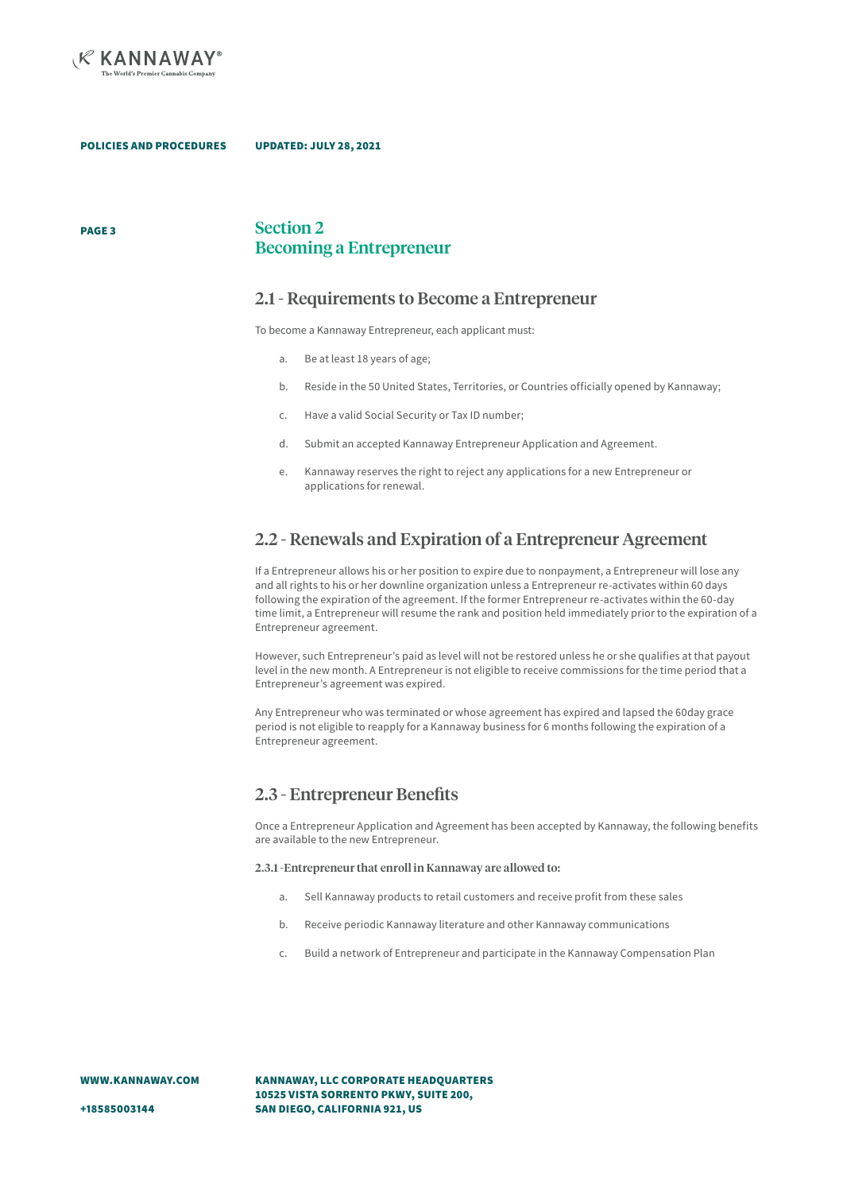

### PAGE 3 Section 2 Becoming a Entrepreneur

### 2.1 - Requirements to Become a Entrepreneur

To become a Kannaway Entrepreneur, each applicant must:

- a. Be at least 18 years of age;
- b. Reside in the 50 United States, Territories, or Countries officially opened by Kannaway;
- c. Have a valid Social Security or Tax ID number;
- d. Submit an accepted Kannaway Entrepreneur Application and Agreement.
- e. Kannaway reserves the right to reject any applications for a new Entrepreneur or applications for renewal.

## 2.2 - Renewals and Expiration of a Entrepreneur Agreement

If a Entrepreneur allows his or her position to expire due to nonpayment, a Entrepreneur will lose any and all rights to his or her downline organization unless a Entrepreneur re-activates within 60 days following the expiration of the agreement. If the former Entrepreneur re-activates within the 60-day time limit, a Entrepreneur will resume the rank and position held immediately prior to the expiration of a Entrepreneur agreement.

However, such Entrepreneur's paid as level will not be restored unless he or she qualifies at that payout level in the new month. A Entrepreneur is not eligible to receive commissions for the time period that a Entrepreneur's agreement was expired.

Any Entrepreneur who was terminated or whose agreement has expired and lapsed the 60day grace period is not eligible to reapply for a Kannaway business for 6 months following the expiration of a Entrepreneur agreement.

## 2.3 - Entrepreneur Benefits

Once a Entrepreneur Application and Agreement has been accepted by Kannaway, the following benefits are available to the new Entrepreneur.

2.3.1 -Entrepreneur that enroll in Kannaway are allowed to:

- a. Sell Kannaway products to retail customers and receive profit from these sales
- b. Receive periodic Kannaway literature and other Kannaway communications
- c. Build a network of Entrepreneur and participate in the Kannaway Compensation Plan

+18585003144

KANNAWAY, LLC CORPORATE HEADQUARTERS 10525 VISTA SORRENTO PKWY, SUITE 200, SAN DIEGO, CALIFORNIA 921, US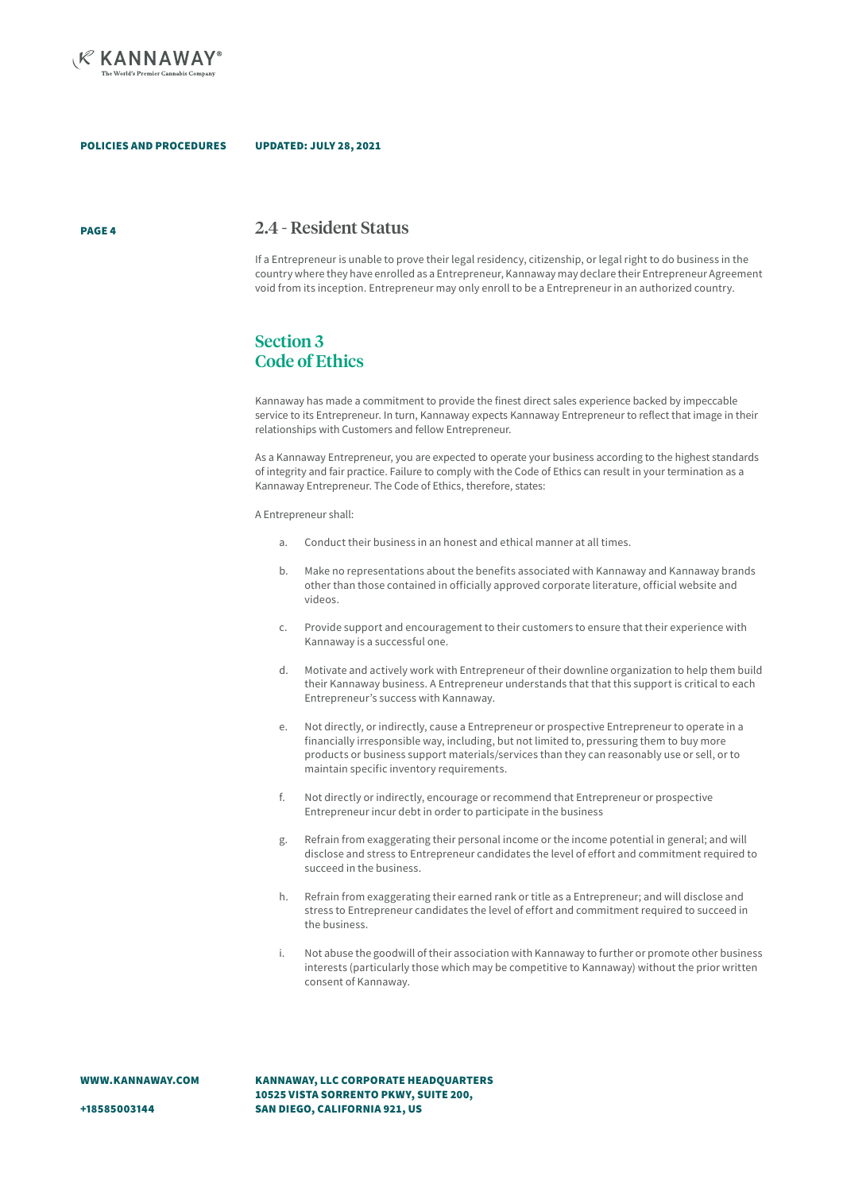

PAGE 4

### 2.4 - Resident Status

If a Entrepreneur is unable to prove their legal residency, citizenship, or legal right to do business in the country where they have enrolled as a Entrepreneur, Kannaway may declare their Entrepreneur Agreement void from its inception. Entrepreneur may only enroll to be a Entrepreneur in an authorized country.

## Section 3 Code of Ethics

Kannaway has made a commitment to provide the finest direct sales experience backed by impeccable service to its Entrepreneur. In turn, Kannaway expects Kannaway Entrepreneur to reflect that image in their relationships with Customers and fellow Entrepreneur.

As a Kannaway Entrepreneur, you are expected to operate your business according to the highest standards of integrity and fair practice. Failure to comply with the Code of Ethics can result in your termination as a Kannaway Entrepreneur. The Code of Ethics, therefore, states:

A Entrepreneur shall:

- a. Conduct their business in an honest and ethical manner at all times.
- b. Make no representations about the benefits associated with Kannaway and Kannaway brands other than those contained in officially approved corporate literature, official website and videos.
- c. Provide support and encouragement to their customers to ensure that their experience with Kannaway is a successful one.
- d. Motivate and actively work with Entrepreneur of their downline organization to help them build their Kannaway business. A Entrepreneur understands that that this support is critical to each Entrepreneur's success with Kannaway.
- Not directly, or indirectly, cause a Entrepreneur or prospective Entrepreneur to operate in a financially irresponsible way, including, but not limited to, pressuring them to buy more products or business support materials/services than they can reasonably use or sell, or to maintain specific inventory requirements.
- f. Not directly or indirectly, encourage or recommend that Entrepreneur or prospective Entrepreneur incur debt in order to participate in the business
- g. Refrain from exaggerating their personal income or the income potential in general; and will disclose and stress to Entrepreneur candidates the level of effort and commitment required to succeed in the business.
- h. Refrain from exaggerating their earned rank or title as a Entrepreneur; and will disclose and stress to Entrepreneur candidates the level of effort and commitment required to succeed in the business.
- i. Not abuse the goodwill of their association with Kannaway to further or promote other business interests (particularly those which may be competitive to Kannaway) without the prior written consent of Kannaway.

WWW.KANNAWAY.COM

KANNAWAY, LLC CORPORATE HEADQUARTERS 10525 VISTA SORRENTO PKWY, SUITE 200, SAN DIEGO, CALIFORNIA 921, US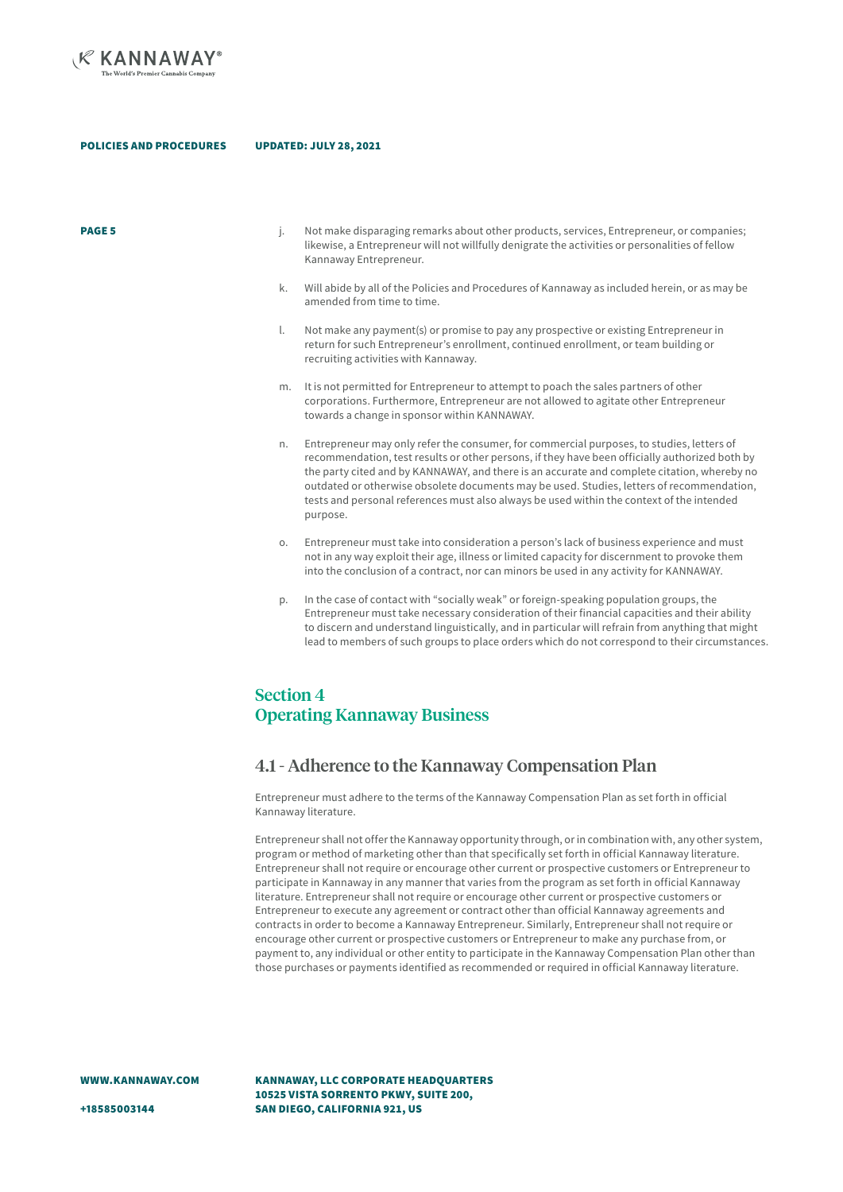

- **PAGE 5** examples i. Not make disparaging remarks about other products, services, Entrepreneur, or companies; likewise, a Entrepreneur will not willfully denigrate the activities or personalities of fellow Kannaway Entrepreneur.
	- k. Will abide by all of the Policies and Procedures of Kannaway as included herein, or as may be amended from time to time.
	- l. Not make any payment(s) or promise to pay any prospective or existing Entrepreneur in return for such Entrepreneur's enrollment, continued enrollment, or team building or recruiting activities with Kannaway.
	- m. It is not permitted for Entrepreneur to attempt to poach the sales partners of other corporations. Furthermore, Entrepreneur are not allowed to agitate other Entrepreneur towards a change in sponsor within KANNAWAY.
	- n. Entrepreneur may only refer the consumer, for commercial purposes, to studies, letters of recommendation, test results or other persons, if they have been officially authorized both by the party cited and by KANNAWAY, and there is an accurate and complete citation, whereby no outdated or otherwise obsolete documents may be used. Studies, letters of recommendation, tests and personal references must also always be used within the context of the intended purpose.
	- o. Entrepreneur must take into consideration a person's lack of business experience and must not in any way exploit their age, illness or limited capacity for discernment to provoke them into the conclusion of a contract, nor can minors be used in any activity for KANNAWAY.
	- In the case of contact with "socially weak" or foreign-speaking population groups, the Entrepreneur must take necessary consideration of their financial capacities and their ability to discern and understand linguistically, and in particular will refrain from anything that might lead to members of such groups to place orders which do not correspond to their circumstances.

## Section 4 Operating Kannaway Business

## 4.1 - Adherence to the Kannaway Compensation Plan

Entrepreneur must adhere to the terms of the Kannaway Compensation Plan as set forth in official Kannaway literature.

Entrepreneur shall not offer the Kannaway opportunity through, or in combination with, any other system, program or method of marketing other than that specifically set forth in official Kannaway literature. Entrepreneur shall not require or encourage other current or prospective customers or Entrepreneur to participate in Kannaway in any manner that varies from the program as set forth in official Kannaway literature. Entrepreneur shall not require or encourage other current or prospective customers or Entrepreneur to execute any agreement or contract other than official Kannaway agreements and contracts in order to become a Kannaway Entrepreneur. Similarly, Entrepreneur shall not require or encourage other current or prospective customers or Entrepreneur to make any purchase from, or payment to, any individual or other entity to participate in the Kannaway Compensation Plan other than those purchases or payments identified as recommended or required in official Kannaway literature.

WWW.KANNAWAY.COM

KANNAWAY, LLC CORPORATE HEADQUARTERS 10525 VISTA SORRENTO PKWY, SUITE 200, SAN DIEGO, CALIFORNIA 921, US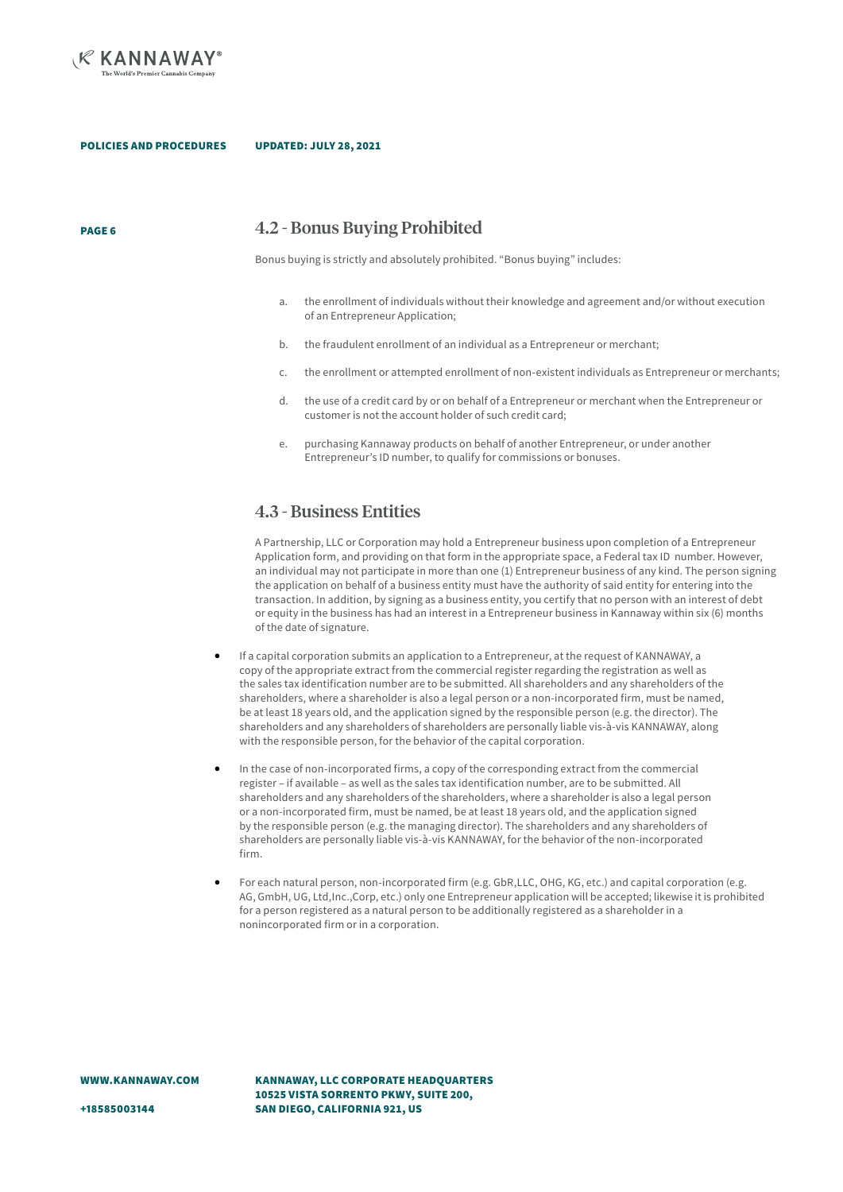

PAGE 6

POLICIES AND PROCEDURES UPDATED: JULY 28, 2021

4.2 - Bonus Buying Prohibited

Bonus buying is strictly and absolutely prohibited. "Bonus buying" includes:

- a. the enrollment of individuals without their knowledge and agreement and/or without execution of an Entrepreneur Application;
- b. the fraudulent enrollment of an individual as a Entrepreneur or merchant;
- c. the enrollment or attempted enrollment of non-existent individuals as Entrepreneur or merchants;
- d. the use of a credit card by or on behalf of a Entrepreneur or merchant when the Entrepreneur or customer is not the account holder of such credit card;
- e. purchasing Kannaway products on behalf of another Entrepreneur, or under another Entrepreneur's ID number, to qualify for commissions or bonuses.

### 4.3 - Business Entities

A Partnership, LLC or Corporation may hold a Entrepreneur business upon completion of a Entrepreneur Application form, and providing on that form in the appropriate space, a Federal tax ID number. However, an individual may not participate in more than one (1) Entrepreneur business of any kind. The person signing the application on behalf of a business entity must have the authority of said entity for entering into the transaction. In addition, by signing as a business entity, you certify that no person with an interest of debt or equity in the business has had an interest in a Entrepreneur business in Kannaway within six (6) months of the date of signature.

- If a capital corporation submits an application to a Entrepreneur, at the request of KANNAWAY, a copy of the appropriate extract from the commercial register regarding the registration as well as the sales tax identification number are to be submitted. All shareholders and any shareholders of the shareholders, where a shareholder is also a legal person or a non-incorporated firm, must be named, be at least 18 years old, and the application signed by the responsible person (e.g. the director). The shareholders and any shareholders of shareholders are personally liable vis-à-vis KANNAWAY, along with the responsible person, for the behavior of the capital corporation.
- In the case of non-incorporated firms, a copy of the corresponding extract from the commercial register – if available – as well as the sales tax identification number, are to be submitted. All shareholders and any shareholders of the shareholders, where a shareholder is also a legal person or a non-incorporated firm, must be named, be at least 18 years old, and the application signed by the responsible person (e.g. the managing director). The shareholders and any shareholders of shareholders are personally liable vis-à-vis KANNAWAY, for the behavior of the non-incorporated firm.
- For each natural person, non-incorporated firm (e.g. GbR,LLC, OHG, KG, etc.) and capital corporation (e.g. AG, GmbH, UG, Ltd,Inc.,Corp, etc.) only one Entrepreneur application will be accepted; likewise it is prohibited for a person registered as a natural person to be additionally registered as a shareholder in a nonincorporated firm or in a corporation.

KANNAWAY, LLC CORPORATE HEADQUARTERS 10525 VISTA SORRENTO PKWY, SUITE 200, SAN DIEGO, CALIFORNIA 921, US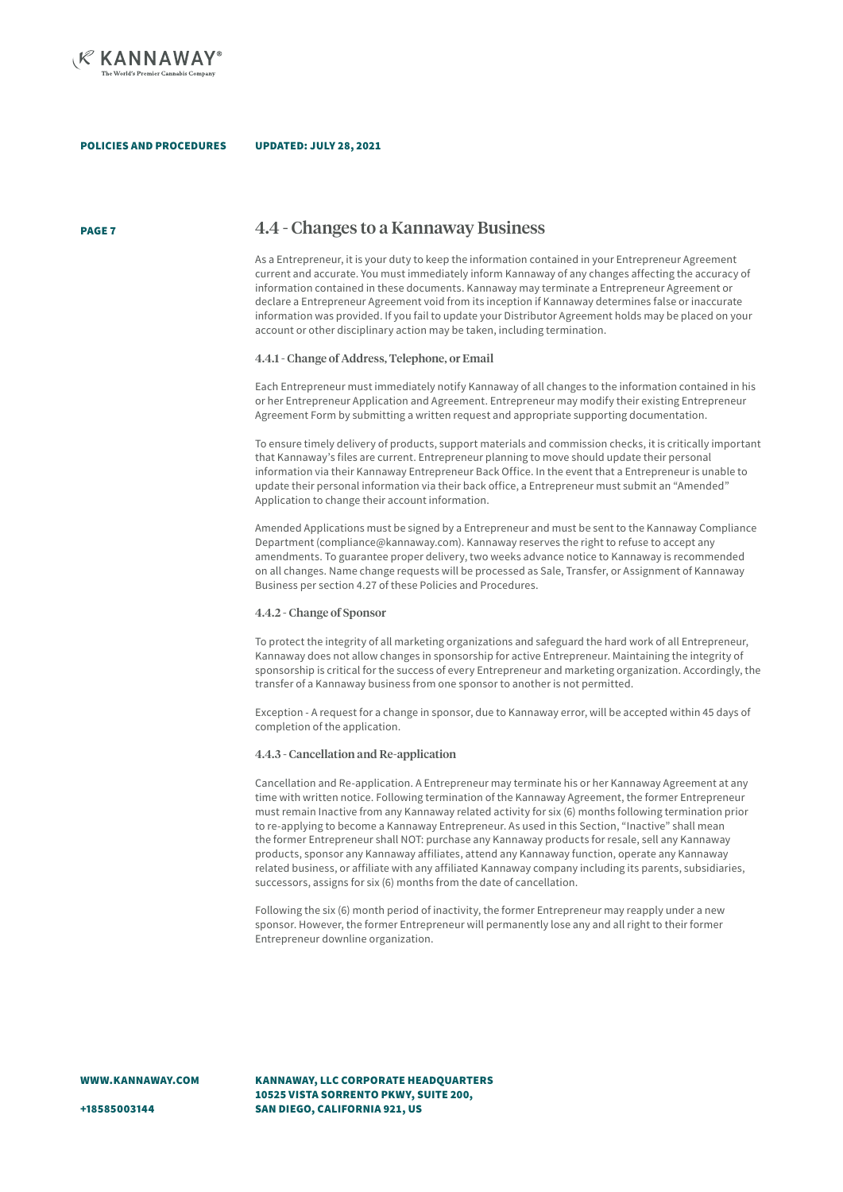

PAGE 7

### 4.4 - Changes to a Kannaway Business

As a Entrepreneur, it is your duty to keep the information contained in your Entrepreneur Agreement current and accurate. You must immediately inform Kannaway of any changes affecting the accuracy of information contained in these documents. Kannaway may terminate a Entrepreneur Agreement or declare a Entrepreneur Agreement void from its inception if Kannaway determines false or inaccurate information was provided. If you fail to update your Distributor Agreement holds may be placed on your account or other disciplinary action may be taken, including termination.

### 4.4.1 - Change of Address, Telephone, or Email

Each Entrepreneur must immediately notify Kannaway of all changes to the information contained in his or her Entrepreneur Application and Agreement. Entrepreneur may modify their existing Entrepreneur Agreement Form by submitting a written request and appropriate supporting documentation.

To ensure timely delivery of products, support materials and commission checks, it is critically important that Kannaway's files are current. Entrepreneur planning to move should update their personal information via their Kannaway Entrepreneur Back Office. In the event that a Entrepreneur is unable to update their personal information via their back office, a Entrepreneur must submit an "Amended" Application to change their account information.

Amended Applications must be signed by a Entrepreneur and must be sent to the Kannaway Compliance Department (compliance@kannaway.com). Kannaway reserves the right to refuse to accept any amendments. To guarantee proper delivery, two weeks advance notice to Kannaway is recommended on all changes. Name change requests will be processed as Sale, Transfer, or Assignment of Kannaway Business per section 4.27 of these Policies and Procedures.

### 4.4.2 - Change of Sponsor

To protect the integrity of all marketing organizations and safeguard the hard work of all Entrepreneur, Kannaway does not allow changes in sponsorship for active Entrepreneur. Maintaining the integrity of sponsorship is critical for the success of every Entrepreneur and marketing organization. Accordingly, the transfer of a Kannaway business from one sponsor to another is not permitted.

Exception - A request for a change in sponsor, due to Kannaway error, will be accepted within 45 days of completion of the application.

### 4.4.3 - Cancellation and Re-application

Cancellation and Re-application. A Entrepreneur may terminate his or her Kannaway Agreement at any time with written notice. Following termination of the Kannaway Agreement, the former Entrepreneur must remain Inactive from any Kannaway related activity for six (6) months following termination prior to re-applying to become a Kannaway Entrepreneur. As used in this Section, "Inactive" shall mean the former Entrepreneur shall NOT: purchase any Kannaway products for resale, sell any Kannaway products, sponsor any Kannaway affiliates, attend any Kannaway function, operate any Kannaway related business, or affiliate with any affiliated Kannaway company including its parents, subsidiaries, successors, assigns for six (6) months from the date of cancellation.

Following the six (6) month period of inactivity, the former Entrepreneur may reapply under a new sponsor. However, the former Entrepreneur will permanently lose any and all right to their former Entrepreneur downline organization.

KANNAWAY, LLC CORPORATE HEADQUARTERS 10525 VISTA SORRENTO PKWY, SUITE 200, SAN DIEGO, CALIFORNIA 921, US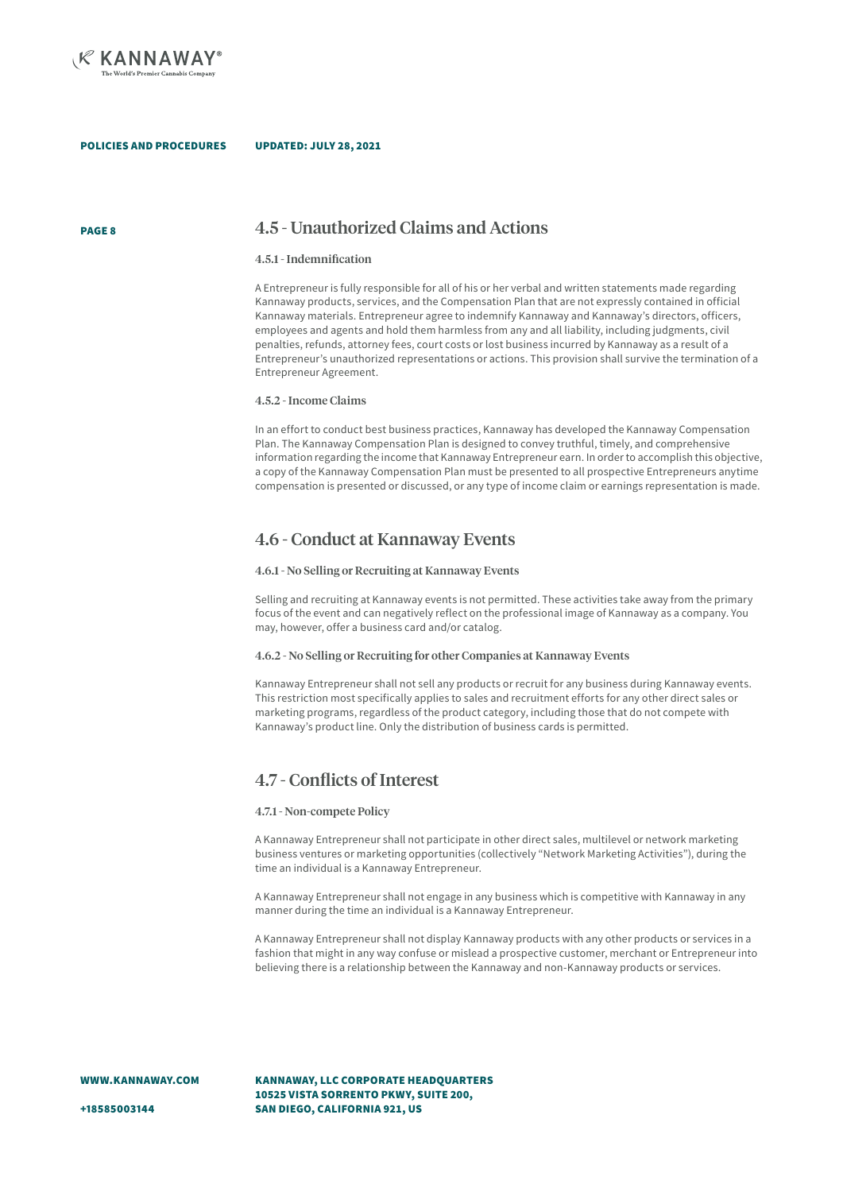

### PAGE 8 4.5 - Unauthorized Claims and Actions

### 4.5.1 - Indemnification

A Entrepreneur is fully responsible for all of his or her verbal and written statements made regarding Kannaway products, services, and the Compensation Plan that are not expressly contained in official Kannaway materials. Entrepreneur agree to indemnify Kannaway and Kannaway's directors, officers, employees and agents and hold them harmless from any and all liability, including judgments, civil penalties, refunds, attorney fees, court costs or lost business incurred by Kannaway as a result of a Entrepreneur's unauthorized representations or actions. This provision shall survive the termination of a Entrepreneur Agreement.

### 4.5.2 - Income Claims

In an effort to conduct best business practices, Kannaway has developed the Kannaway Compensation Plan. The Kannaway Compensation Plan is designed to convey truthful, timely, and comprehensive information regarding the income that Kannaway Entrepreneur earn. In order to accomplish this objective, a copy of the Kannaway Compensation Plan must be presented to all prospective Entrepreneurs anytime compensation is presented or discussed, or any type of income claim or earnings representation is made.

### 4.6 - Conduct at Kannaway Events

### 4.6.1 - No Selling or Recruiting at Kannaway Events

Selling and recruiting at Kannaway events is not permitted. These activities take away from the primary focus of the event and can negatively reflect on the professional image of Kannaway as a company. You may, however, offer a business card and/or catalog.

### 4.6.2 - No Selling or Recruiting for other Companies at Kannaway Events

Kannaway Entrepreneur shall not sell any products or recruit for any business during Kannaway events. This restriction most specifically applies to sales and recruitment efforts for any other direct sales or marketing programs, regardless of the product category, including those that do not compete with Kannaway's product line. Only the distribution of business cards is permitted.

### 4.7 - Conflicts of Interest

### 4.7.1 - Non-compete Policy

A Kannaway Entrepreneur shall not participate in other direct sales, multilevel or network marketing business ventures or marketing opportunities (collectively "Network Marketing Activities"), during the time an individual is a Kannaway Entrepreneur.

A Kannaway Entrepreneur shall not engage in any business which is competitive with Kannaway in any manner during the time an individual is a Kannaway Entrepreneur.

A Kannaway Entrepreneur shall not display Kannaway products with any other products or services in a fashion that might in any way confuse or mislead a prospective customer, merchant or Entrepreneur into believing there is a relationship between the Kannaway and non-Kannaway products or services.

WWW.KANNAWAY.COM

KANNAWAY, LLC CORPORATE HEADQUARTERS 10525 VISTA SORRENTO PKWY, SUITE 200, SAN DIEGO, CALIFORNIA 921, US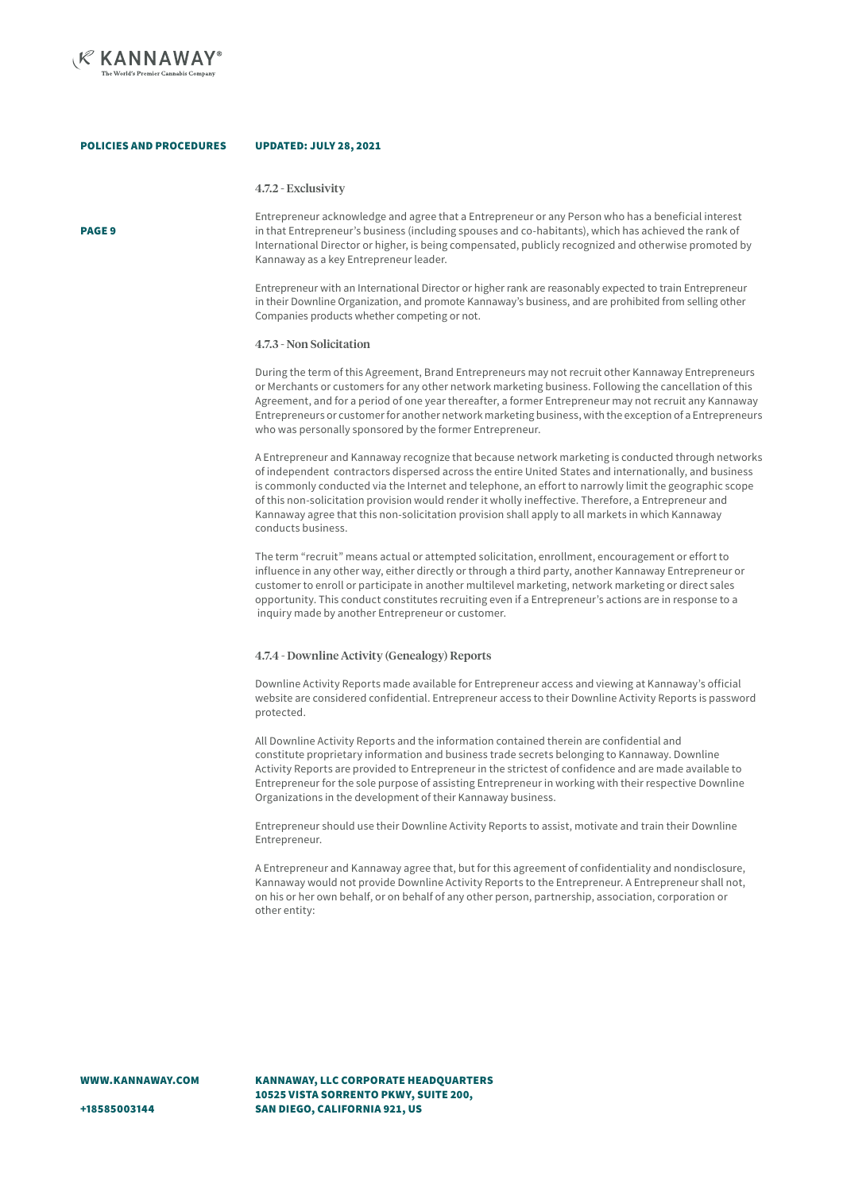

### 4.7.2 - Exclusivity

PAGE 9

Entrepreneur acknowledge and agree that a Entrepreneur or any Person who has a beneficial interest in that Entrepreneur's business (including spouses and co-habitants), which has achieved the rank of International Director or higher, is being compensated, publicly recognized and otherwise promoted by Kannaway as a key Entrepreneur leader.

Entrepreneur with an International Director or higher rank are reasonably expected to train Entrepreneur in their Downline Organization, and promote Kannaway's business, and are prohibited from selling other Companies products whether competing or not.

### 4.7.3 - Non Solicitation

During the term of this Agreement, Brand Entrepreneurs may not recruit other Kannaway Entrepreneurs or Merchants or customers for any other network marketing business. Following the cancellation of this Agreement, and for a period of one year thereafter, a former Entrepreneur may not recruit any Kannaway Entrepreneurs or customer for another network marketing business, with the exception of a Entrepreneurs who was personally sponsored by the former Entrepreneur.

A Entrepreneur and Kannaway recognize that because network marketing is conducted through networks of independent contractors dispersed across the entire United States and internationally, and business is commonly conducted via the Internet and telephone, an effort to narrowly limit the geographic scope of this non-solicitation provision would render it wholly ineffective. Therefore, a Entrepreneur and Kannaway agree that this non-solicitation provision shall apply to all markets in which Kannaway conducts business.

The term "recruit" means actual or attempted solicitation, enrollment, encouragement or effort to influence in any other way, either directly or through a third party, another Kannaway Entrepreneur or customer to enroll or participate in another multilevel marketing, network marketing or direct sales opportunity. This conduct constitutes recruiting even if a Entrepreneur's actions are in response to a inquiry made by another Entrepreneur or customer.

### 4.7.4 - Downline Activity (Genealogy) Reports

Downline Activity Reports made available for Entrepreneur access and viewing at Kannaway's official website are considered confidential. Entrepreneur access to their Downline Activity Reports is password protected.

All Downline Activity Reports and the information contained therein are confidential and constitute proprietary information and business trade secrets belonging to Kannaway. Downline Activity Reports are provided to Entrepreneur in the strictest of confidence and are made available to Entrepreneur for the sole purpose of assisting Entrepreneur in working with their respective Downline Organizations in the development of their Kannaway business.

Entrepreneur should use their Downline Activity Reports to assist, motivate and train their Downline Entrepreneur.

A Entrepreneur and Kannaway agree that, but for this agreement of confidentiality and nondisclosure, Kannaway would not provide Downline Activity Reports to the Entrepreneur. A Entrepreneur shall not, on his or her own behalf, or on behalf of any other person, partnership, association, corporation or other entity:

KANNAWAY, LLC CORPORATE HEADQUARTERS 10525 VISTA SORRENTO PKWY, SUITE 200, SAN DIEGO, CALIFORNIA 921, US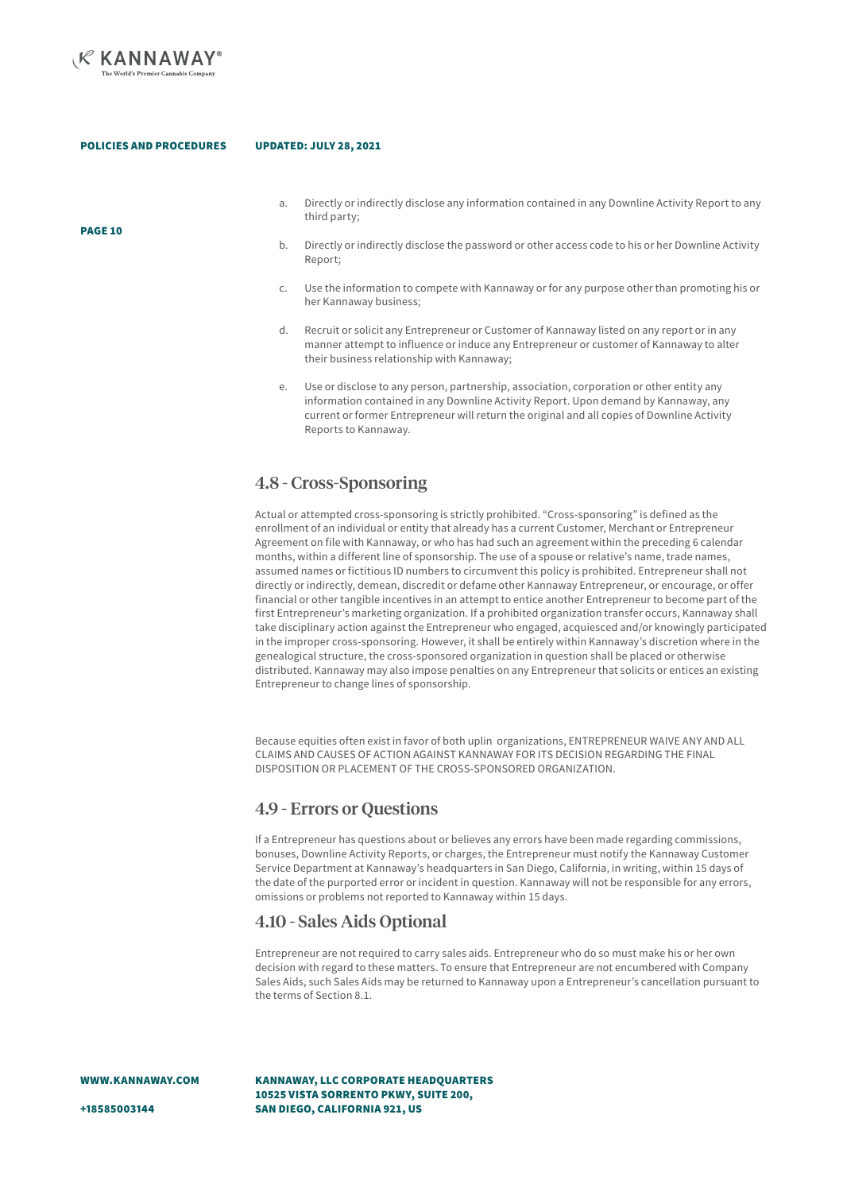

PAGE 10

POLICIES AND PROCEDURES

### UPDATED: JULY 28, 2021

- a. Directly or indirectly disclose any information contained in any Downline Activity Report to any third party;
- b. Directly or indirectly disclose the password or other access code to his or her Downline Activity Report;
- c. Use the information to compete with Kannaway or for any purpose other than promoting his or her Kannaway business;
- d. Recruit or solicit any Entrepreneur or Customer of Kannaway listed on any report or in any manner attempt to influence or induce any Entrepreneur or customer of Kannaway to alter their business relationship with Kannaway;
- e. Use or disclose to any person, partnership, association, corporation or other entity any information contained in any Downline Activity Report. Upon demand by Kannaway, any current or former Entrepreneur will return the original and all copies of Downline Activity Reports to Kannaway.

### 4.8 - Cross-Sponsoring

Actual or attempted cross-sponsoring is strictly prohibited. "Cross-sponsoring" is defined as the enrollment of an individual or entity that already has a current Customer, Merchant or Entrepreneur Agreement on file with Kannaway, or who has had such an agreement within the preceding 6 calendar months, within a different line of sponsorship. The use of a spouse or relative's name, trade names, assumed names or fictitious ID numbers to circumvent this policy is prohibited. Entrepreneur shall not directly or indirectly, demean, discredit or defame other Kannaway Entrepreneur, or encourage, or offer financial or other tangible incentives in an attempt to entice another Entrepreneur to become part of the first Entrepreneur's marketing organization. If a prohibited organization transfer occurs, Kannaway shall take disciplinary action against the Entrepreneur who engaged, acquiesced and/or knowingly participated in the improper cross-sponsoring. However, it shall be entirely within Kannaway's discretion where in the genealogical structure, the cross-sponsored organization in question shall be placed or otherwise distributed. Kannaway may also impose penalties on any Entrepreneur that solicits or entices an existing Entrepreneur to change lines of sponsorship.

Because equities often exist in favor of both uplin organizations, ENTREPRENEUR WAIVE ANY AND ALL CLAIMS AND CAUSES OF ACTION AGAINST KANNAWAY FOR ITS DECISION REGARDING THE FINAL DISPOSITION OR PLACEMENT OF THE CROSS-SPONSORED ORGANIZATION.

### 4.9 - Errors or Questions

If a Entrepreneur has questions about or believes any errors have been made regarding commissions, bonuses, Downline Activity Reports, or charges, the Entrepreneur must notify the Kannaway Customer Service Department at Kannaway's headquarters in San Diego, California, in writing, within 15 days of the date of the purported error or incident in question. Kannaway will not be responsible for any errors, omissions or problems not reported to Kannaway within 15 days.

## 4.10 - Sales Aids Optional

Entrepreneur are not required to carry sales aids. Entrepreneur who do so must make his or her own decision with regard to these matters. To ensure that Entrepreneur are not encumbered with Company Sales Aids, such Sales Aids may be returned to Kannaway upon a Entrepreneur's cancellation pursuant to the terms of Section 8.1.

WWW.KANNAWAY.COM

KANNAWAY, LLC CORPORATE HEADQUARTERS 10525 VISTA SORRENTO PKWY, SUITE 200, SAN DIEGO, CALIFORNIA 921, US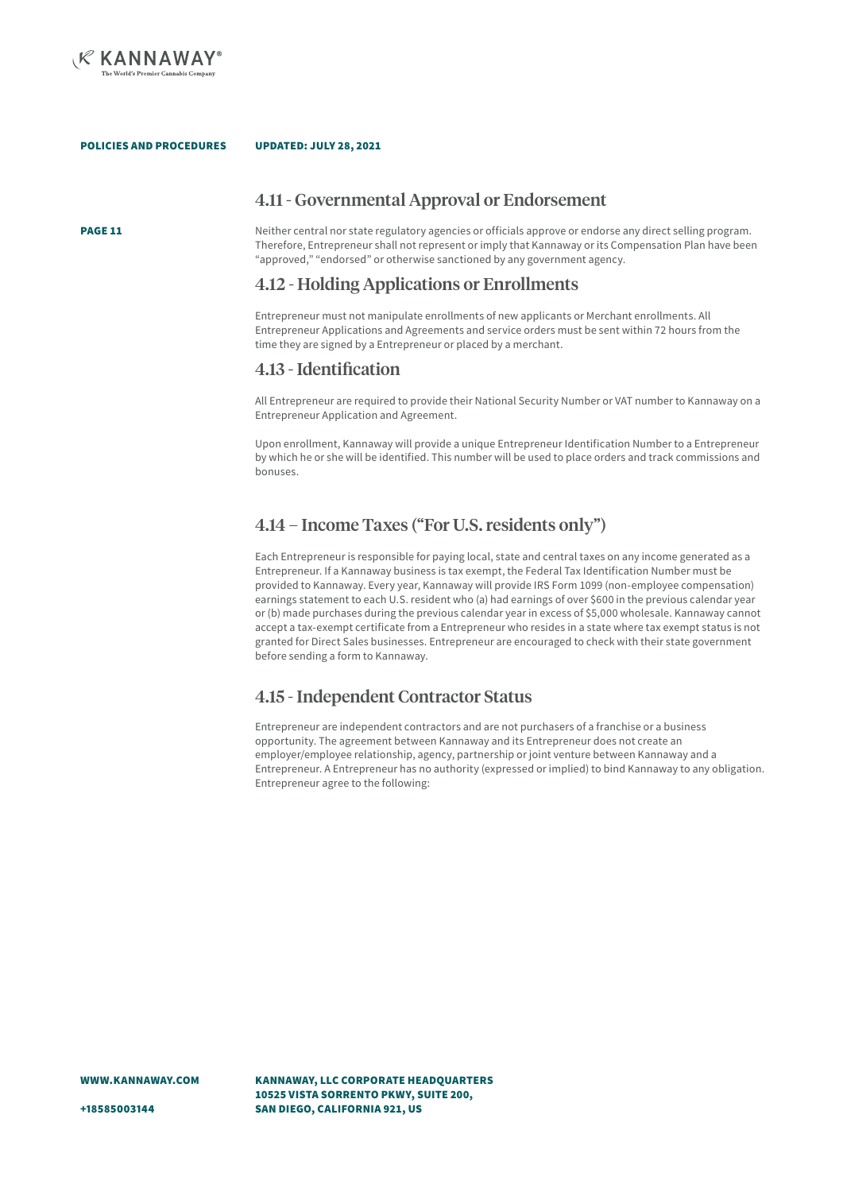

## 4.11 - Governmental Approval or Endorsement

PAGE 11

Neither central nor state regulatory agencies or officials approve or endorse any direct selling program. Therefore, Entrepreneur shall not represent or imply that Kannaway or its Compensation Plan have been "approved," "endorsed" or otherwise sanctioned by any government agency.

## 4.12 - Holding Applications or Enrollments

Entrepreneur must not manipulate enrollments of new applicants or Merchant enrollments. All Entrepreneur Applications and Agreements and service orders must be sent within 72 hours from the time they are signed by a Entrepreneur or placed by a merchant.

### 4.13 - Identification

All Entrepreneur are required to provide their National Security Number or VAT number to Kannaway on a Entrepreneur Application and Agreement.

Upon enrollment, Kannaway will provide a unique Entrepreneur Identification Number to a Entrepreneur by which he or she will be identified. This number will be used to place orders and track commissions and bonuses.

## 4.14 – Income Taxes ("For U.S. residents only")

Each Entrepreneur is responsible for paying local, state and central taxes on any income generated as a Entrepreneur. If a Kannaway business is tax exempt, the Federal Tax Identification Number must be provided to Kannaway. Every year, Kannaway will provide IRS Form 1099 (non-employee compensation) earnings statement to each U.S. resident who (a) had earnings of over \$600 in the previous calendar year or (b) made purchases during the previous calendar year in excess of \$5,000 wholesale. Kannaway cannot accept a tax-exempt certificate from a Entrepreneur who resides in a state where tax exempt status is not granted for Direct Sales businesses. Entrepreneur are encouraged to check with their state government before sending a form to Kannaway.

## 4.15 - Independent Contractor Status

Entrepreneur are independent contractors and are not purchasers of a franchise or a business opportunity. The agreement between Kannaway and its Entrepreneur does not create an employer/employee relationship, agency, partnership or joint venture between Kannaway and a Entrepreneur. A Entrepreneur has no authority (expressed or implied) to bind Kannaway to any obligation. Entrepreneur agree to the following:

KANNAWAY, LLC CORPORATE HEADQUARTERS 10525 VISTA SORRENTO PKWY, SUITE 200, SAN DIEGO, CALIFORNIA 921, US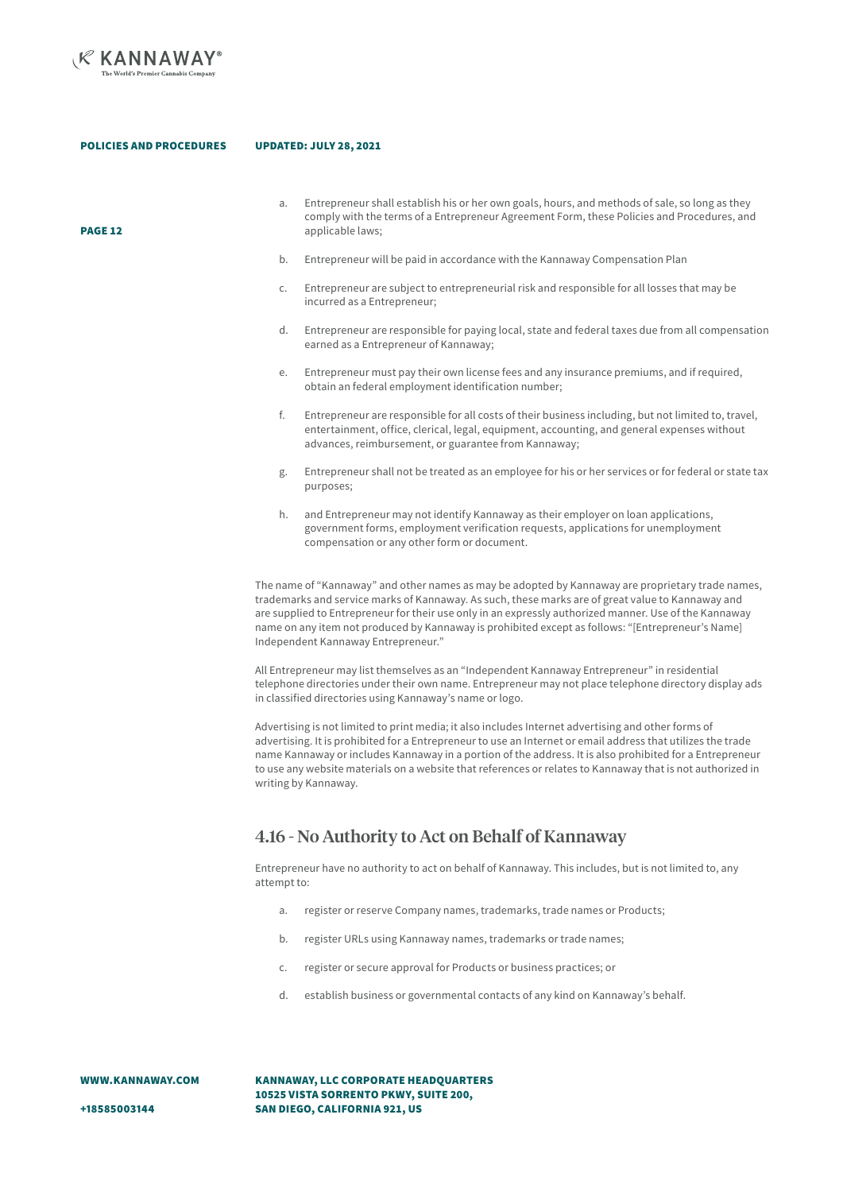

PAGE 12

- a. Entrepreneur shall establish his or her own goals, hours, and methods of sale, so long as they comply with the terms of a Entrepreneur Agreement Form, these Policies and Procedures, and applicable laws;
- b. Entrepreneur will be paid in accordance with the Kannaway Compensation Plan
- c. Entrepreneur are subject to entrepreneurial risk and responsible for all losses that may be incurred as a Entrepreneur;
- d. Entrepreneur are responsible for paying local, state and federal taxes due from all compensation earned as a Entrepreneur of Kannaway;
- e. Entrepreneur must pay their own license fees and any insurance premiums, and if required, obtain an federal employment identification number;
- f. Entrepreneur are responsible for all costs of their business including, but not limited to, travel, entertainment, office, clerical, legal, equipment, accounting, and general expenses without advances, reimbursement, or guarantee from Kannaway;
- g. Entrepreneur shall not be treated as an employee for his or her services or for federal or state tax purposes;
- h. and Entrepreneur may not identify Kannaway as their employer on loan applications, government forms, employment verification requests, applications for unemployment compensation or any other form or document.

The name of "Kannaway" and other names as may be adopted by Kannaway are proprietary trade names, trademarks and service marks of Kannaway. As such, these marks are of great value to Kannaway and are supplied to Entrepreneur for their use only in an expressly authorized manner. Use of the Kannaway name on any item not produced by Kannaway is prohibited except as follows: "[Entrepreneur's Name] Independent Kannaway Entrepreneur."

All Entrepreneur may list themselves as an "Independent Kannaway Entrepreneur" in residential telephone directories under their own name. Entrepreneur may not place telephone directory display ads in classified directories using Kannaway's name or logo.

Advertising is not limited to print media; it also includes Internet advertising and other forms of advertising. It is prohibited for a Entrepreneur to use an Internet or email address that utilizes the trade name Kannaway or includes Kannaway in a portion of the address. It is also prohibited for a Entrepreneur to use any website materials on a website that references or relates to Kannaway that is not authorized in writing by Kannaway.

## 4.16 - No Authority to Act on Behalf of Kannaway

Entrepreneur have no authority to act on behalf of Kannaway. This includes, but is not limited to, any attempt to:

- a. register or reserve Company names, trademarks, trade names or Products;
- b. register URLs using Kannaway names, trademarks or trade names;
- c. register or secure approval for Products or business practices; or
- d. establish business or governmental contacts of any kind on Kannaway's behalf.

WWW.KANNAWAY.COM

KANNAWAY, LLC CORPORATE HEADQUARTERS 10525 VISTA SORRENTO PKWY, SUITE 200, SAN DIEGO, CALIFORNIA 921, US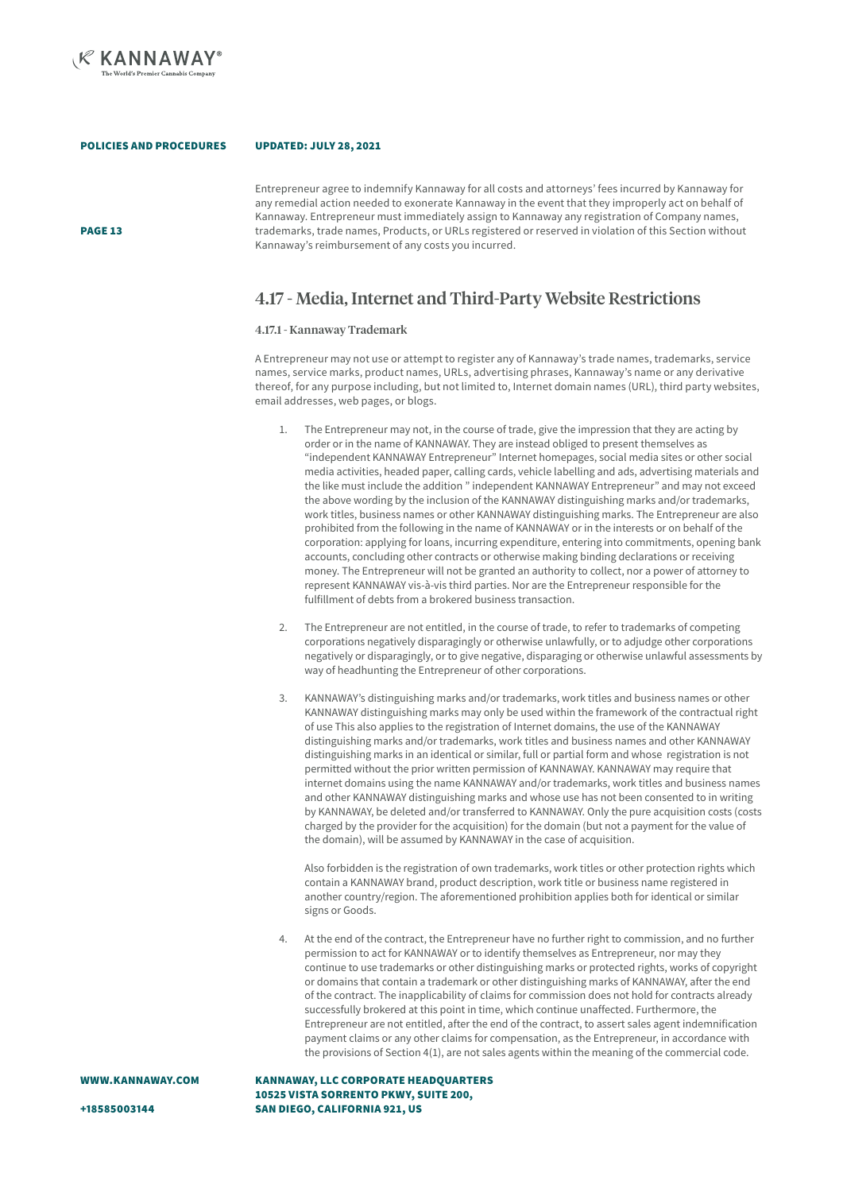

### UPDATED: JULY 28, 2021

PAGE 13

Entrepreneur agree to indemnify Kannaway for all costs and attorneys' fees incurred by Kannaway for any remedial action needed to exonerate Kannaway in the event that they improperly act on behalf of Kannaway. Entrepreneur must immediately assign to Kannaway any registration of Company names, trademarks, trade names, Products, or URLs registered or reserved in violation of this Section without Kannaway's reimbursement of any costs you incurred.

## 4.17 - Media, Internet and Third-Party Website Restrictions

### 4.17.1 - Kannaway Trademark

A Entrepreneur may not use or attempt to register any of Kannaway's trade names, trademarks, service names, service marks, product names, URLs, advertising phrases, Kannaway's name or any derivative thereof, for any purpose including, but not limited to, Internet domain names (URL), third party websites, email addresses, web pages, or blogs.

- 1. The Entrepreneur may not, in the course of trade, give the impression that they are acting by order or in the name of KANNAWAY. They are instead obliged to present themselves as "independent KANNAWAY Entrepreneur" Internet homepages, social media sites or other social media activities, headed paper, calling cards, vehicle labelling and ads, advertising materials and the like must include the addition " independent KANNAWAY Entrepreneur" and may not exceed the above wording by the inclusion of the KANNAWAY distinguishing marks and/or trademarks, work titles, business names or other KANNAWAY distinguishing marks. The Entrepreneur are also prohibited from the following in the name of KANNAWAY or in the interests or on behalf of the corporation: applying for loans, incurring expenditure, entering into commitments, opening bank accounts, concluding other contracts or otherwise making binding declarations or receiving money. The Entrepreneur will not be granted an authority to collect, nor a power of attorney to represent KANNAWAY vis-à-vis third parties. Nor are the Entrepreneur responsible for the fulfillment of debts from a brokered business transaction.
- 2. The Entrepreneur are not entitled, in the course of trade, to refer to trademarks of competing corporations negatively disparagingly or otherwise unlawfully, or to adjudge other corporations negatively or disparagingly, or to give negative, disparaging or otherwise unlawful assessments by way of headhunting the Entrepreneur of other corporations.
- 3. KANNAWAY's distinguishing marks and/or trademarks, work titles and business names or other KANNAWAY distinguishing marks may only be used within the framework of the contractual right of use This also applies to the registration of Internet domains, the use of the KANNAWAY distinguishing marks and/or trademarks, work titles and business names and other KANNAWAY distinguishing marks in an identical or similar, full or partial form and whose registration is not permitted without the prior written permission of KANNAWAY. KANNAWAY may require that internet domains using the name KANNAWAY and/or trademarks, work titles and business names and other KANNAWAY distinguishing marks and whose use has not been consented to in writing by KANNAWAY, be deleted and/or transferred to KANNAWAY. Only the pure acquisition costs (costs charged by the provider for the acquisition) for the domain (but not a payment for the value of the domain), will be assumed by KANNAWAY in the case of acquisition.

Also forbidden is the registration of own trademarks, work titles or other protection rights which contain a KANNAWAY brand, product description, work title or business name registered in another country/region. The aforementioned prohibition applies both for identical or similar signs or Goods.

4. At the end of the contract, the Entrepreneur have no further right to commission, and no further permission to act for KANNAWAY or to identify themselves as Entrepreneur, nor may they continue to use trademarks or other distinguishing marks or protected rights, works of copyright or domains that contain a trademark or other distinguishing marks of KANNAWAY, after the end of the contract. The inapplicability of claims for commission does not hold for contracts already successfully brokered at this point in time, which continue unaffected. Furthermore, the Entrepreneur are not entitled, after the end of the contract, to assert sales agent indemnification payment claims or any other claims for compensation, as the Entrepreneur, in accordance with the provisions of Section 4(1), are not sales agents within the meaning of the commercial code.

KANNAWAY, LLC CORPORATE HEADQUARTERS 10525 VISTA SORRENTO PKWY, SUITE 200, SAN DIEGO, CALIFORNIA 921, US

WWW.KANNAWAY.COM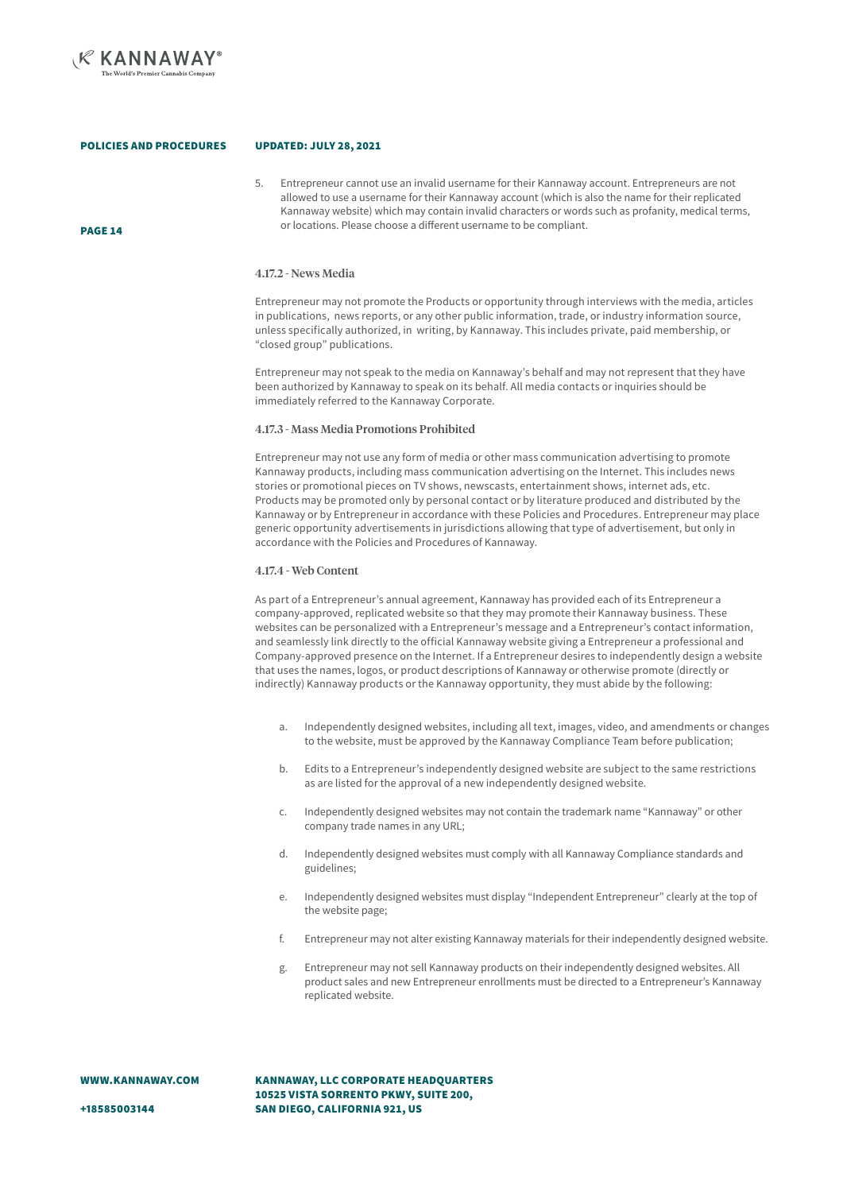

PAGE 14

#### POLICIES AND PROCEDURES UPDATED: JULY 28, 2021

5. Entrepreneur cannot use an invalid username for their Kannaway account. Entrepreneurs are not allowed to use a username for their Kannaway account (which is also the name for their replicated Kannaway website) which may contain invalid characters or words such as profanity, medical terms, or locations. Please choose a different username to be compliant.

### 4.17.2 - News Media

Entrepreneur may not promote the Products or opportunity through interviews with the media, articles in publications, news reports, or any other public information, trade, or industry information source, unless specifically authorized, in writing, by Kannaway. This includes private, paid membership, or "closed group" publications.

Entrepreneur may not speak to the media on Kannaway's behalf and may not represent that they have been authorized by Kannaway to speak on its behalf. All media contacts or inquiries should be immediately referred to the Kannaway Corporate.

### 4.17.3 - Mass Media Promotions Prohibited

Entrepreneur may not use any form of media or other mass communication advertising to promote Kannaway products, including mass communication advertising on the Internet. This includes news stories or promotional pieces on TV shows, newscasts, entertainment shows, internet ads, etc. Products may be promoted only by personal contact or by literature produced and distributed by the Kannaway or by Entrepreneur in accordance with these Policies and Procedures. Entrepreneur may place generic opportunity advertisements in jurisdictions allowing that type of advertisement, but only in accordance with the Policies and Procedures of Kannaway.

### 4.17.4 - Web Content

As part of a Entrepreneur's annual agreement, Kannaway has provided each of its Entrepreneur a company-approved, replicated website so that they may promote their Kannaway business. These websites can be personalized with a Entrepreneur's message and a Entrepreneur's contact information, and seamlessly link directly to the official Kannaway website giving a Entrepreneur a professional and Company-approved presence on the Internet. If a Entrepreneur desires to independently design a website that uses the names, logos, or product descriptions of Kannaway or otherwise promote (directly or indirectly) Kannaway products or the Kannaway opportunity, they must abide by the following:

- a. Independently designed websites, including all text, images, video, and amendments or changes to the website, must be approved by the Kannaway Compliance Team before publication;
- b. Edits to a Entrepreneur's independently designed website are subject to the same restrictions as are listed for the approval of a new independently designed website.
- c. Independently designed websites may not contain the trademark name "Kannaway" or other company trade names in any URL;
- d. Independently designed websites must comply with all Kannaway Compliance standards and guidelines;
- e. Independently designed websites must display "Independent Entrepreneur" clearly at the top of the website page;
- f. Entrepreneur may not alter existing Kannaway materials for their independently designed website.
- g. Entrepreneur may not sell Kannaway products on their independently designed websites. All product sales and new Entrepreneur enrollments must be directed to a Entrepreneur's Kannaway replicated website.

WWW.KANNAWAY.COM

KANNAWAY, LLC CORPORATE HEADQUARTERS 10525 VISTA SORRENTO PKWY, SUITE 200, SAN DIEGO, CALIFORNIA 921, US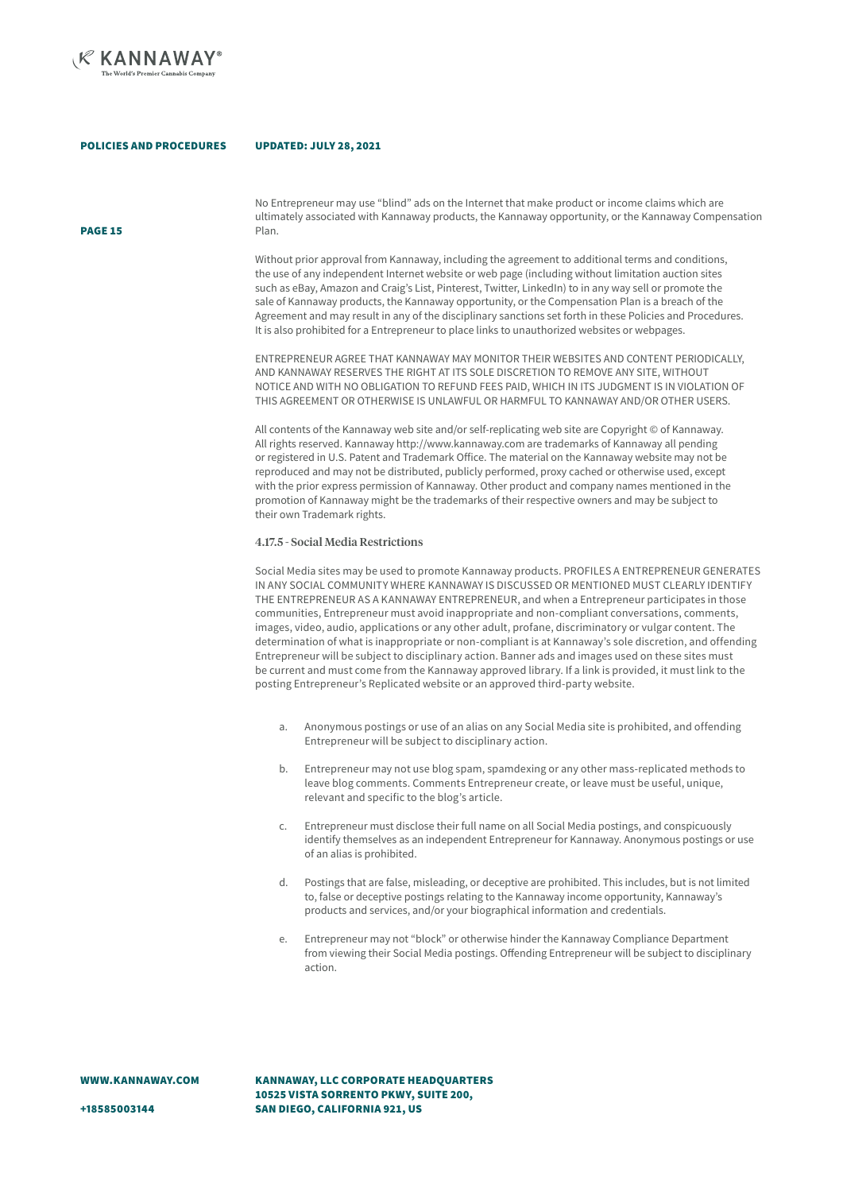

PAGE 15

No Entrepreneur may use "blind" ads on the Internet that make product or income claims which are ultimately associated with Kannaway products, the Kannaway opportunity, or the Kannaway Compensation Plan.

Without prior approval from Kannaway, including the agreement to additional terms and conditions, the use of any independent Internet website or web page (including without limitation auction sites such as eBay, Amazon and Craig's List, Pinterest, Twitter, LinkedIn) to in any way sell or promote the sale of Kannaway products, the Kannaway opportunity, or the Compensation Plan is a breach of the Agreement and may result in any of the disciplinary sanctions set forth in these Policies and Procedures. It is also prohibited for a Entrepreneur to place links to unauthorized websites or webpages.

ENTREPRENEUR AGREE THAT KANNAWAY MAY MONITOR THEIR WEBSITES AND CONTENT PERIODICALLY, AND KANNAWAY RESERVES THE RIGHT AT ITS SOLE DISCRETION TO REMOVE ANY SITE, WITHOUT NOTICE AND WITH NO OBLIGATION TO REFUND FEES PAID, WHICH IN ITS JUDGMENT IS IN VIOLATION OF THIS AGREEMENT OR OTHERWISE IS UNLAWFUL OR HARMFUL TO KANNAWAY AND/OR OTHER USERS.

All contents of the Kannaway web site and/or self-replicating web site are Copyright © of Kannaway. All rights reserved. Kannaway http://www.kannaway.com are trademarks of Kannaway all pending or registered in U.S. Patent and Trademark Office. The material on the Kannaway website may not be reproduced and may not be distributed, publicly performed, proxy cached or otherwise used, except with the prior express permission of Kannaway. Other product and company names mentioned in the promotion of Kannaway might be the trademarks of their respective owners and may be subject to their own Trademark rights.

### 4.17.5 - Social Media Restrictions

Social Media sites may be used to promote Kannaway products. PROFILES A ENTREPRENEUR GENERATES IN ANY SOCIAL COMMUNITY WHERE KANNAWAY IS DISCUSSED OR MENTIONED MUST CLEARLY IDENTIFY THE ENTREPRENEUR AS A KANNAWAY ENTREPRENEUR, and when a Entrepreneur participates in those communities, Entrepreneur must avoid inappropriate and non-compliant conversations, comments, images, video, audio, applications or any other adult, profane, discriminatory or vulgar content. The determination of what is inappropriate or non-compliant is at Kannaway's sole discretion, and offending Entrepreneur will be subject to disciplinary action. Banner ads and images used on these sites must be current and must come from the Kannaway approved library. If a link is provided, it must link to the posting Entrepreneur's Replicated website or an approved third-party website.

- Anonymous postings or use of an alias on any Social Media site is prohibited, and offending Entrepreneur will be subject to disciplinary action.
- b. Entrepreneur may not use blog spam, spamdexing or any other mass-replicated methods to leave blog comments. Comments Entrepreneur create, or leave must be useful, unique, relevant and specific to the blog's article.
- c. Entrepreneur must disclose their full name on all Social Media postings, and conspicuously identify themselves as an independent Entrepreneur for Kannaway. Anonymous postings or use of an alias is prohibited.
- d. Postings that are false, misleading, or deceptive are prohibited. This includes, but is not limited to, false or deceptive postings relating to the Kannaway income opportunity, Kannaway's products and services, and/or your biographical information and credentials.
- e. Entrepreneur may not "block" or otherwise hinder the Kannaway Compliance Department from viewing their Social Media postings. Offending Entrepreneur will be subject to disciplinary action.

WWW.KANNAWAY.COM

KANNAWAY, LLC CORPORATE HEADQUARTERS 10525 VISTA SORRENTO PKWY, SUITE 200, SAN DIEGO, CALIFORNIA 921, US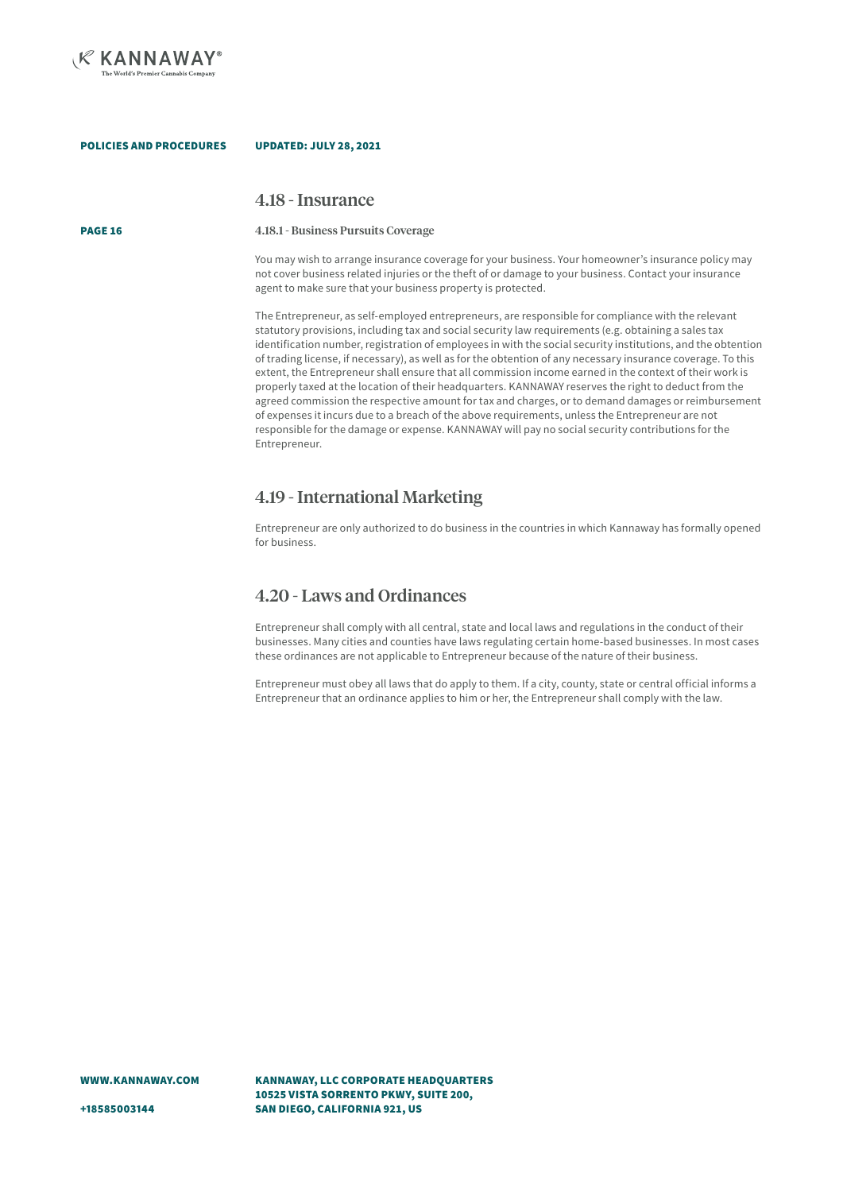

PAGE 16

#### POLICIES AND PROCEDURES UPDATED: JULY 28, 2021

### 4.18 - Insurance

### 4.18.1 - Business Pursuits Coverage

You may wish to arrange insurance coverage for your business. Your homeowner's insurance policy may not cover business related injuries or the theft of or damage to your business. Contact your insurance agent to make sure that your business property is protected.

The Entrepreneur, as self-employed entrepreneurs, are responsible for compliance with the relevant statutory provisions, including tax and social security law requirements (e.g. obtaining a sales tax identification number, registration of employees in with the social security institutions, and the obtention of trading license, if necessary), as well as for the obtention of any necessary insurance coverage. To this extent, the Entrepreneur shall ensure that all commission income earned in the context of their work is properly taxed at the location of their headquarters. KANNAWAY reserves the right to deduct from the agreed commission the respective amount for tax and charges, or to demand damages or reimbursement of expenses it incurs due to a breach of the above requirements, unless the Entrepreneur are not responsible for the damage or expense. KANNAWAY will pay no social security contributions for the Entrepreneur.

### 4.19 - International Marketing

Entrepreneur are only authorized to do business in the countries in which Kannaway has formally opened for business.

## 4.20 - Laws and Ordinances

Entrepreneur shall comply with all central, state and local laws and regulations in the conduct of their businesses. Many cities and counties have laws regulating certain home-based businesses. In most cases these ordinances are not applicable to Entrepreneur because of the nature of their business.

Entrepreneur must obey all laws that do apply to them. If a city, county, state or central official informs a Entrepreneur that an ordinance applies to him or her, the Entrepreneur shall comply with the law.

KANNAWAY, LLC CORPORATE HEADQUARTERS 10525 VISTA SORRENTO PKWY, SUITE 200, SAN DIEGO, CALIFORNIA 921, US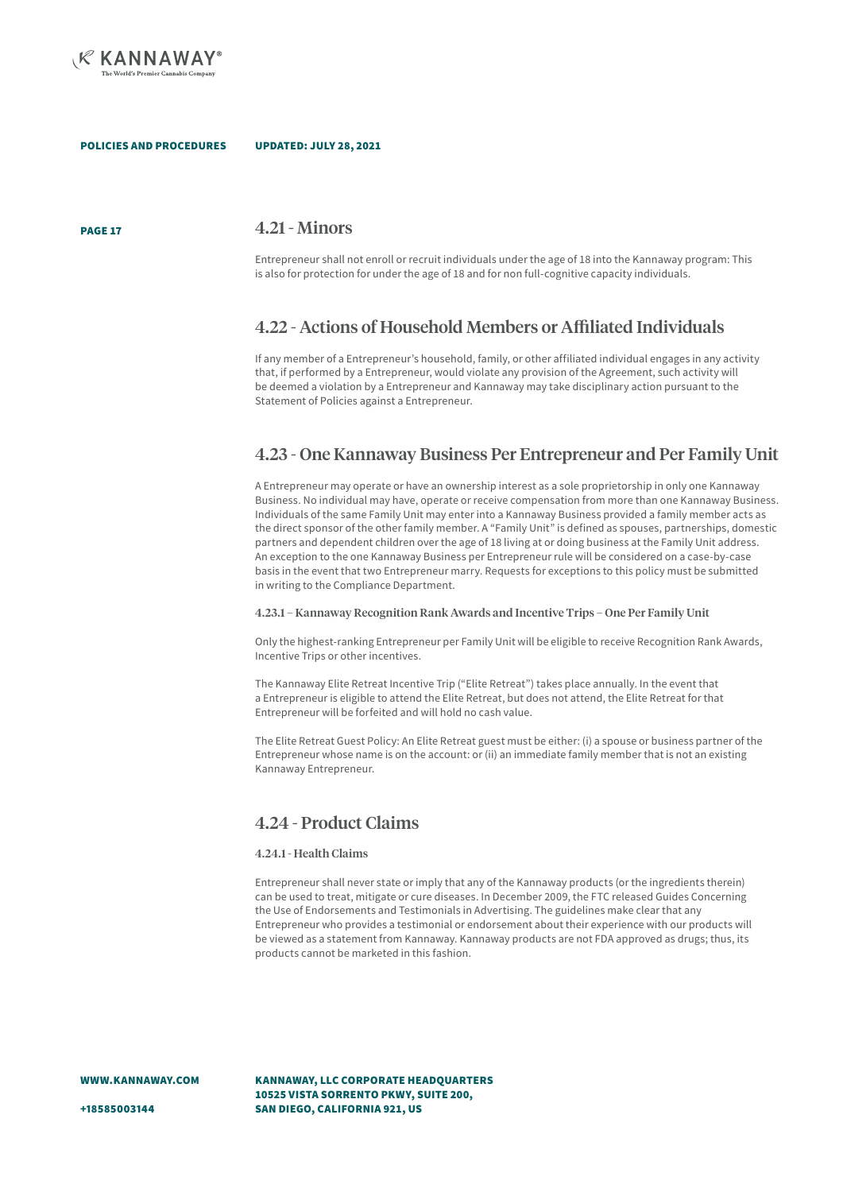

### **PAGE 17** 4.21 - Minors

Entrepreneur shall not enroll or recruit individuals under the age of 18 into the Kannaway program: This is also for protection for under the age of 18 and for non full-cognitive capacity individuals.

## 4.22 - Actions of Household Members or Affiliated Individuals

If any member of a Entrepreneur's household, family, or other affiliated individual engages in any activity that, if performed by a Entrepreneur, would violate any provision of the Agreement, such activity will be deemed a violation by a Entrepreneur and Kannaway may take disciplinary action pursuant to the Statement of Policies against a Entrepreneur.

## 4.23 - One Kannaway Business Per Entrepreneur and Per Family Unit

A Entrepreneur may operate or have an ownership interest as a sole proprietorship in only one Kannaway Business. No individual may have, operate or receive compensation from more than one Kannaway Business. Individuals of the same Family Unit may enter into a Kannaway Business provided a family member acts as the direct sponsor of the other family member. A "Family Unit" is defined as spouses, partnerships, domestic partners and dependent children over the age of 18 living at or doing business at the Family Unit address. An exception to the one Kannaway Business per Entrepreneur rule will be considered on a case-by-case basis in the event that two Entrepreneur marry. Requests for exceptions to this policy must be submitted in writing to the Compliance Department.

### 4.23.1 – Kannaway Recognition Rank Awards and Incentive Trips – One Per Family Unit

Only the highest-ranking Entrepreneur per Family Unit will be eligible to receive Recognition Rank Awards, Incentive Trips or other incentives.

The Kannaway Elite Retreat Incentive Trip ("Elite Retreat") takes place annually. In the event that a Entrepreneur is eligible to attend the Elite Retreat, but does not attend, the Elite Retreat for that Entrepreneur will be forfeited and will hold no cash value.

The Elite Retreat Guest Policy: An Elite Retreat guest must be either: (i) a spouse or business partner of the Entrepreneur whose name is on the account: or (ii) an immediate family member that is not an existing Kannaway Entrepreneur.

## 4.24 - Product Claims

### 4.24.1 - Health Claims

Entrepreneur shall never state or imply that any of the Kannaway products (or the ingredients therein) can be used to treat, mitigate or cure diseases. In December 2009, the FTC released Guides Concerning the Use of Endorsements and Testimonials in Advertising. The guidelines make clear that any Entrepreneur who provides a testimonial or endorsement about their experience with our products will be viewed as a statement from Kannaway. Kannaway products are not FDA approved as drugs; thus, its products cannot be marketed in this fashion.

WWW.KANNAWAY.COM

KANNAWAY, LLC CORPORATE HEADQUARTERS 10525 VISTA SORRENTO PKWY, SUITE 200, SAN DIEGO, CALIFORNIA 921, US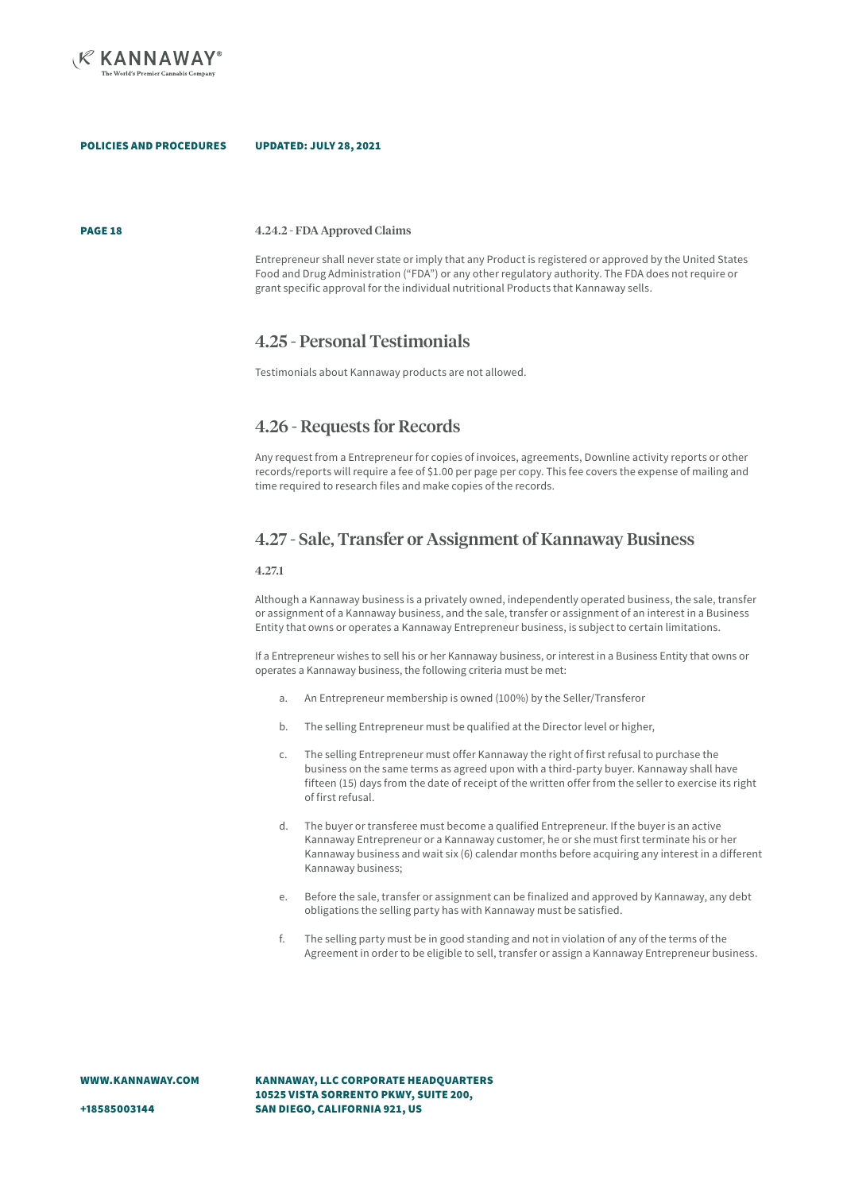

PAGE 18

### 4.24.2 - FDA Approved Claims

Entrepreneur shall never state or imply that any Product is registered or approved by the United States Food and Drug Administration ("FDA") or any other regulatory authority. The FDA does not require or grant specific approval for the individual nutritional Products that Kannaway sells.

## 4.25 - Personal Testimonials

Testimonials about Kannaway products are not allowed.

## 4.26 - Requests for Records

Any request from a Entrepreneur for copies of invoices, agreements, Downline activity reports or other records/reports will require a fee of \$1.00 per page per copy. This fee covers the expense of mailing and time required to research files and make copies of the records.

## 4.27 - Sale, Transfer or Assignment of Kannaway Business

### 4.27.1

Although a Kannaway business is a privately owned, independently operated business, the sale, transfer or assignment of a Kannaway business, and the sale, transfer or assignment of an interest in a Business Entity that owns or operates a Kannaway Entrepreneur business, is subject to certain limitations.

If a Entrepreneur wishes to sell his or her Kannaway business, or interest in a Business Entity that owns or operates a Kannaway business, the following criteria must be met:

- a. An Entrepreneur membership is owned (100%) by the Seller/Transferor
- b. The selling Entrepreneur must be qualified at the Director level or higher,
- c. The selling Entrepreneur must offer Kannaway the right of first refusal to purchase the business on the same terms as agreed upon with a third-party buyer. Kannaway shall have fifteen (15) days from the date of receipt of the written offer from the seller to exercise its right of first refusal.
- d. The buyer or transferee must become a qualified Entrepreneur. If the buyer is an active Kannaway Entrepreneur or a Kannaway customer, he or she must first terminate his or her Kannaway business and wait six (6) calendar months before acquiring any interest in a different Kannaway business;
- e. Before the sale, transfer or assignment can be finalized and approved by Kannaway, any debt obligations the selling party has with Kannaway must be satisfied.
- f. The selling party must be in good standing and not in violation of any of the terms of the Agreement in order to be eligible to sell, transfer or assign a Kannaway Entrepreneur business.

WWW.KANNAWAY.COM

KANNAWAY, LLC CORPORATE HEADQUARTERS 10525 VISTA SORRENTO PKWY, SUITE 200, SAN DIEGO, CALIFORNIA 921, US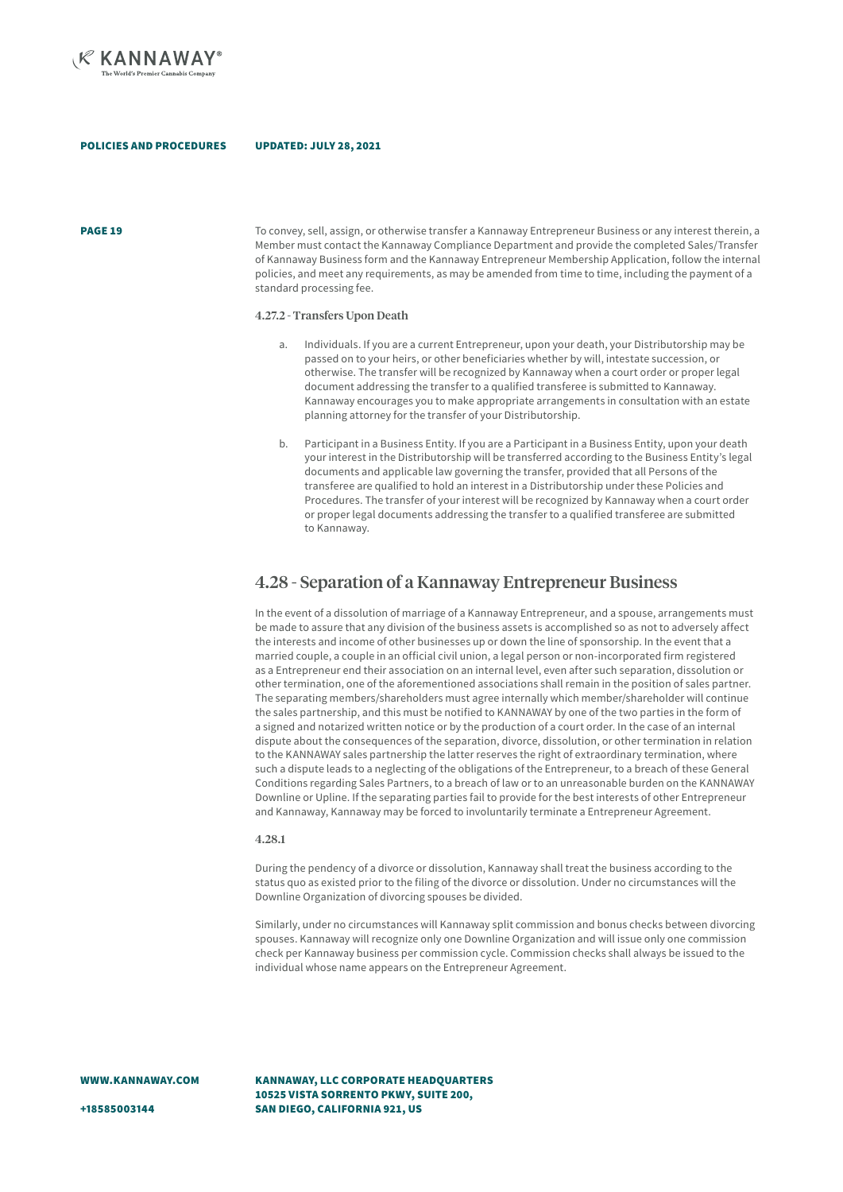

**PAGE 19** To convey, sell, assign, or otherwise transfer a Kannaway Entrepreneur Business or any interest therein, a Member must contact the Kannaway Compliance Department and provide the completed Sales/Transfer of Kannaway Business form and the Kannaway Entrepreneur Membership Application, follow the internal policies, and meet any requirements, as may be amended from time to time, including the payment of a standard processing fee.

### 4.27.2 - Transfers Upon Death

- Individuals. If you are a current Entrepreneur, upon your death, your Distributorship may be passed on to your heirs, or other beneficiaries whether by will, intestate succession, or otherwise. The transfer will be recognized by Kannaway when a court order or proper legal document addressing the transfer to a qualified transferee is submitted to Kannaway. Kannaway encourages you to make appropriate arrangements in consultation with an estate planning attorney for the transfer of your Distributorship.
- b. Participant in a Business Entity. If you are a Participant in a Business Entity, upon your death your interest in the Distributorship will be transferred according to the Business Entity's legal documents and applicable law governing the transfer, provided that all Persons of the transferee are qualified to hold an interest in a Distributorship under these Policies and Procedures. The transfer of your interest will be recognized by Kannaway when a court order or proper legal documents addressing the transfer to a qualified transferee are submitted to Kannaway.

### 4.28 - Separation of a Kannaway Entrepreneur Business

In the event of a dissolution of marriage of a Kannaway Entrepreneur, and a spouse, arrangements must be made to assure that any division of the business assets is accomplished so as not to adversely affect the interests and income of other businesses up or down the line of sponsorship. In the event that a married couple, a couple in an official civil union, a legal person or non-incorporated firm registered as a Entrepreneur end their association on an internal level, even after such separation, dissolution or other termination, one of the aforementioned associations shall remain in the position of sales partner. The separating members/shareholders must agree internally which member/shareholder will continue the sales partnership, and this must be notified to KANNAWAY by one of the two parties in the form of a signed and notarized written notice or by the production of a court order. In the case of an internal dispute about the consequences of the separation, divorce, dissolution, or other termination in relation to the KANNAWAY sales partnership the latter reserves the right of extraordinary termination, where such a dispute leads to a neglecting of the obligations of the Entrepreneur, to a breach of these General Conditions regarding Sales Partners, to a breach of law or to an unreasonable burden on the KANNAWAY Downline or Upline. If the separating parties fail to provide for the best interests of other Entrepreneur and Kannaway, Kannaway may be forced to involuntarily terminate a Entrepreneur Agreement.

### 4.28.1

During the pendency of a divorce or dissolution, Kannaway shall treat the business according to the status quo as existed prior to the filing of the divorce or dissolution. Under no circumstances will the Downline Organization of divorcing spouses be divided.

Similarly, under no circumstances will Kannaway split commission and bonus checks between divorcing spouses. Kannaway will recognize only one Downline Organization and will issue only one commission check per Kannaway business per commission cycle. Commission checks shall always be issued to the individual whose name appears on the Entrepreneur Agreement.

WWW.KANNAWAY.COM

KANNAWAY, LLC CORPORATE HEADQUARTERS 10525 VISTA SORRENTO PKWY, SUITE 200, SAN DIEGO, CALIFORNIA 921, US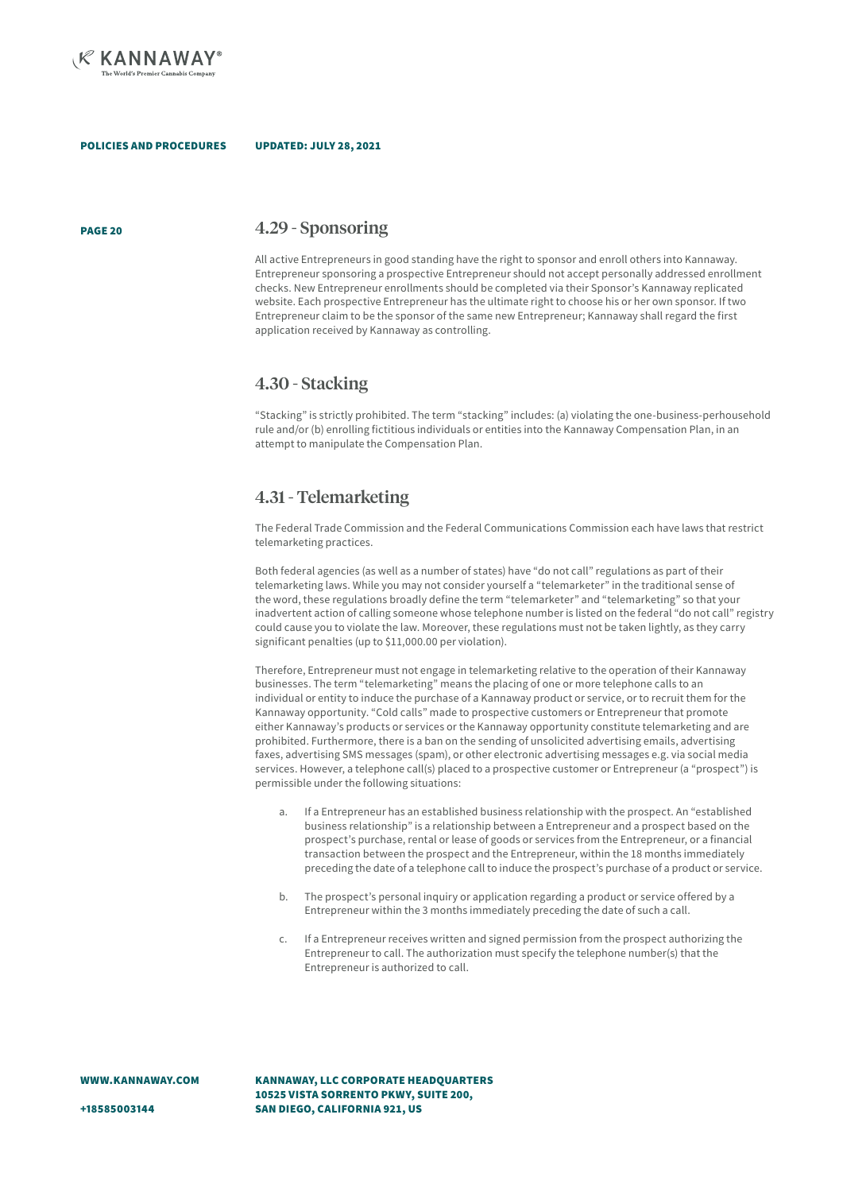

### UPDATED: JULY 28, 2021

### PAGE 20 4.29 - Sponsoring

All active Entrepreneurs in good standing have the right to sponsor and enroll others into Kannaway. Entrepreneur sponsoring a prospective Entrepreneur should not accept personally addressed enrollment checks. New Entrepreneur enrollments should be completed via their Sponsor's Kannaway replicated website. Each prospective Entrepreneur has the ultimate right to choose his or her own sponsor. If two Entrepreneur claim to be the sponsor of the same new Entrepreneur; Kannaway shall regard the first application received by Kannaway as controlling.

### 4.30 - Stacking

"Stacking" is strictly prohibited. The term "stacking" includes: (a) violating the one-business-perhousehold rule and/or (b) enrolling fictitious individuals or entities into the Kannaway Compensation Plan, in an attempt to manipulate the Compensation Plan.

## 4.31 - Telemarketing

The Federal Trade Commission and the Federal Communications Commission each have laws that restrict telemarketing practices.

Both federal agencies (as well as a number of states) have "do not call" regulations as part of their telemarketing laws. While you may not consider yourself a "telemarketer" in the traditional sense of the word, these regulations broadly define the term "telemarketer" and "telemarketing" so that your inadvertent action of calling someone whose telephone number is listed on the federal "do not call" registry could cause you to violate the law. Moreover, these regulations must not be taken lightly, as they carry significant penalties (up to \$11,000.00 per violation).

Therefore, Entrepreneur must not engage in telemarketing relative to the operation of their Kannaway businesses. The term "telemarketing" means the placing of one or more telephone calls to an individual or entity to induce the purchase of a Kannaway product or service, or to recruit them for the Kannaway opportunity. "Cold calls" made to prospective customers or Entrepreneur that promote either Kannaway's products or services or the Kannaway opportunity constitute telemarketing and are prohibited. Furthermore, there is a ban on the sending of unsolicited advertising emails, advertising faxes, advertising SMS messages (spam), or other electronic advertising messages e.g. via social media services. However, a telephone call(s) placed to a prospective customer or Entrepreneur (a "prospect") is permissible under the following situations:

- a. If a Entrepreneur has an established business relationship with the prospect. An "established business relationship" is a relationship between a Entrepreneur and a prospect based on the prospect's purchase, rental or lease of goods or services from the Entrepreneur, or a financial transaction between the prospect and the Entrepreneur, within the 18 months immediately preceding the date of a telephone call to induce the prospect's purchase of a product or service.
- b. The prospect's personal inquiry or application regarding a product or service offered by a Entrepreneur within the 3 months immediately preceding the date of such a call.
- c. If a Entrepreneur receives written and signed permission from the prospect authorizing the Entrepreneur to call. The authorization must specify the telephone number(s) that the Entrepreneur is authorized to call.

WWW.KANNAWAY.COM

KANNAWAY, LLC CORPORATE HEADQUARTERS 10525 VISTA SORRENTO PKWY, SUITE 200, SAN DIEGO, CALIFORNIA 921, US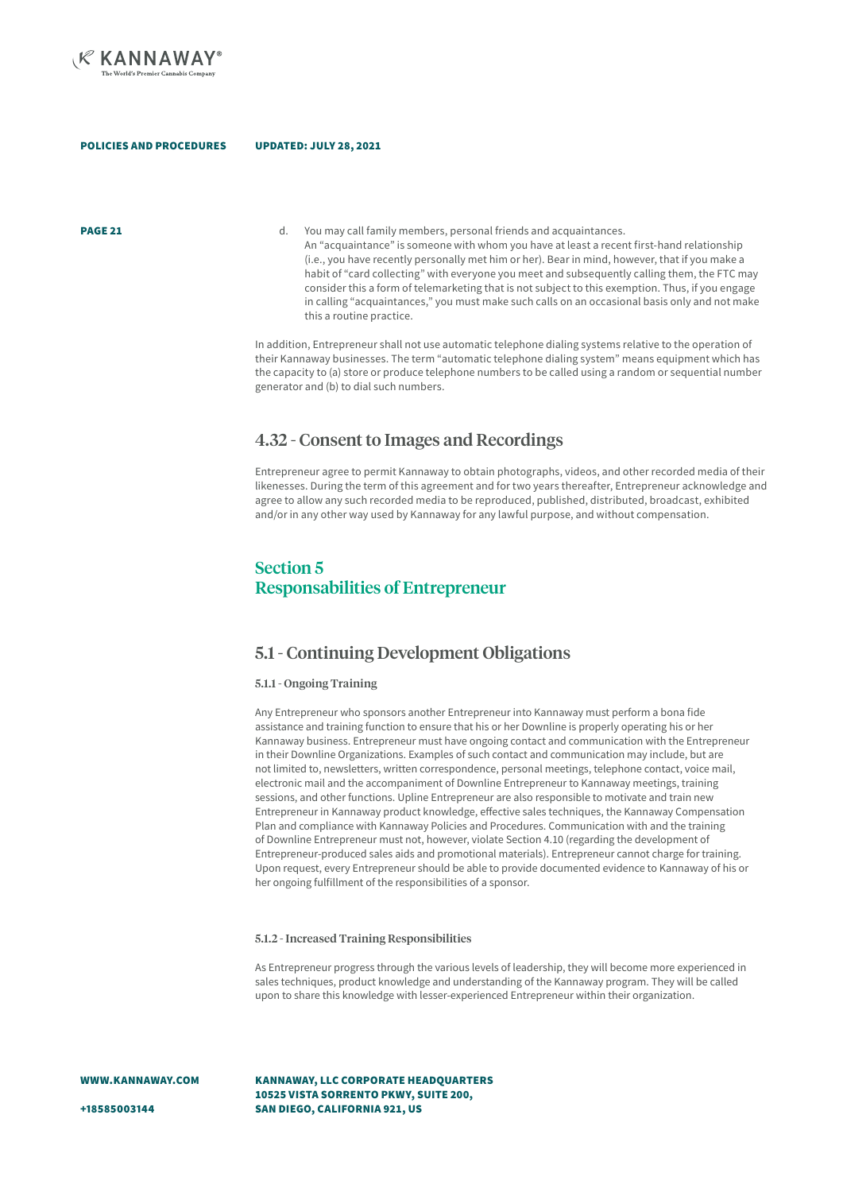

UPDATED: JULY 28, 2021

**PAGE 21 https://ed.** You may call family members, personal friends and acquaintances. An "acquaintance" is someone with whom you have at least a recent first-hand relationship (i.e., you have recently personally met him or her). Bear in mind, however, that if you make a habit of "card collecting" with everyone you meet and subsequently calling them, the FTC may consider this a form of telemarketing that is not subject to this exemption. Thus, if you engage in calling "acquaintances," you must make such calls on an occasional basis only and not make this a routine practice.

> In addition, Entrepreneur shall not use automatic telephone dialing systems relative to the operation of their Kannaway businesses. The term "automatic telephone dialing system" means equipment which has the capacity to (a) store or produce telephone numbers to be called using a random or sequential number generator and (b) to dial such numbers.

## 4.32 - Consent to Images and Recordings

Entrepreneur agree to permit Kannaway to obtain photographs, videos, and other recorded media of their likenesses. During the term of this agreement and for two years thereafter, Entrepreneur acknowledge and agree to allow any such recorded media to be reproduced, published, distributed, broadcast, exhibited and/or in any other way used by Kannaway for any lawful purpose, and without compensation.

## Section 5 Responsabilities of Entrepreneur

## 5.1 - Continuing Development Obligations

### 5.1.1 - Ongoing Training

Any Entrepreneur who sponsors another Entrepreneur into Kannaway must perform a bona fide assistance and training function to ensure that his or her Downline is properly operating his or her Kannaway business. Entrepreneur must have ongoing contact and communication with the Entrepreneur in their Downline Organizations. Examples of such contact and communication may include, but are not limited to, newsletters, written correspondence, personal meetings, telephone contact, voice mail, electronic mail and the accompaniment of Downline Entrepreneur to Kannaway meetings, training sessions, and other functions. Upline Entrepreneur are also responsible to motivate and train new Entrepreneur in Kannaway product knowledge, effective sales techniques, the Kannaway Compensation Plan and compliance with Kannaway Policies and Procedures. Communication with and the training of Downline Entrepreneur must not, however, violate Section 4.10 (regarding the development of Entrepreneur-produced sales aids and promotional materials). Entrepreneur cannot charge for training. Upon request, every Entrepreneur should be able to provide documented evidence to Kannaway of his or her ongoing fulfillment of the responsibilities of a sponsor.

### 5.1.2 - Increased Training Responsibilities

As Entrepreneur progress through the various levels of leadership, they will become more experienced in sales techniques, product knowledge and understanding of the Kannaway program. They will be called upon to share this knowledge with lesser-experienced Entrepreneur within their organization.

WWW.KANNAWAY.COM

KANNAWAY, LLC CORPORATE HEADQUARTERS 10525 VISTA SORRENTO PKWY, SUITE 200, SAN DIEGO, CALIFORNIA 921, US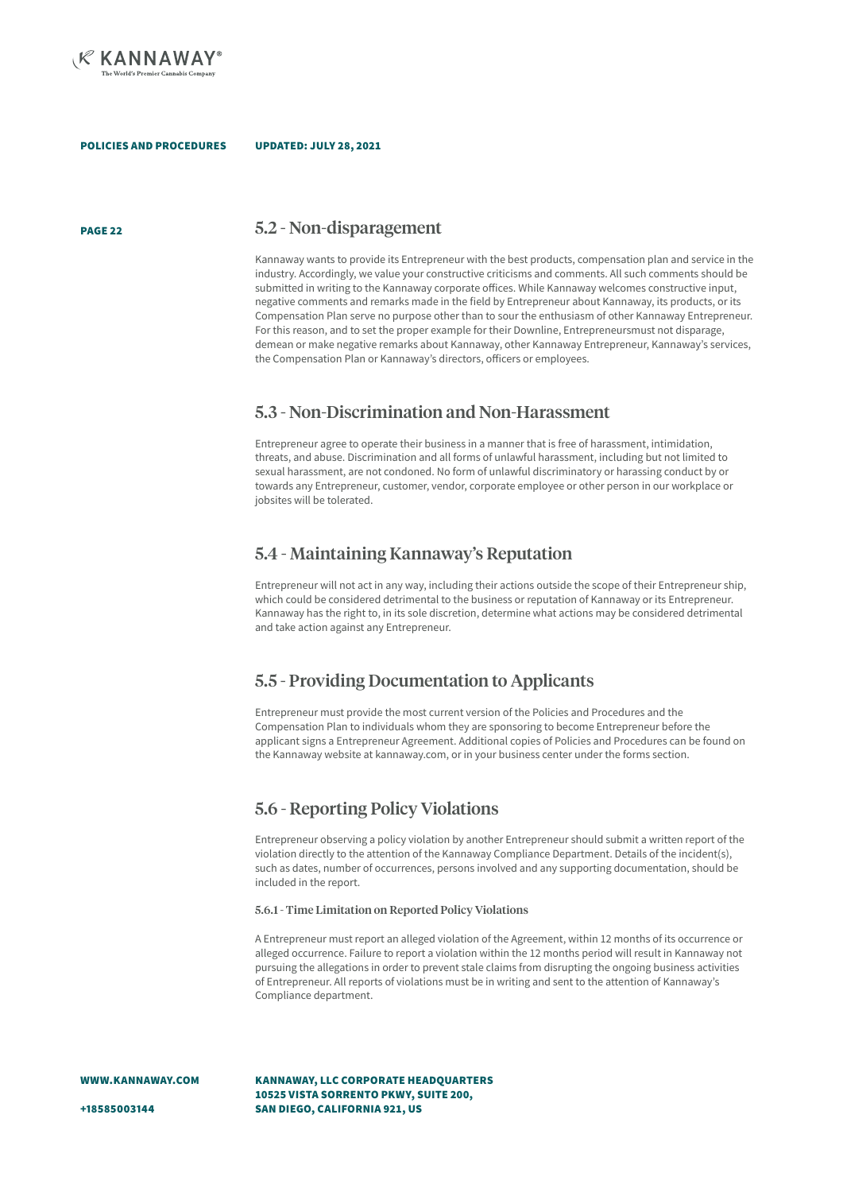

### UPDATED: JULY 28, 2021

PAGE 22

### 5.2 - Non-disparagement

Kannaway wants to provide its Entrepreneur with the best products, compensation plan and service in the industry. Accordingly, we value your constructive criticisms and comments. All such comments should be submitted in writing to the Kannaway corporate offices. While Kannaway welcomes constructive input, negative comments and remarks made in the field by Entrepreneur about Kannaway, its products, or its Compensation Plan serve no purpose other than to sour the enthusiasm of other Kannaway Entrepreneur. For this reason, and to set the proper example for their Downline, Entrepreneursmust not disparage, demean or make negative remarks about Kannaway, other Kannaway Entrepreneur, Kannaway's services, the Compensation Plan or Kannaway's directors, officers or employees.

## 5.3 - Non-Discrimination and Non-Harassment

Entrepreneur agree to operate their business in a manner that is free of harassment, intimidation, threats, and abuse. Discrimination and all forms of unlawful harassment, including but not limited to sexual harassment, are not condoned. No form of unlawful discriminatory or harassing conduct by or towards any Entrepreneur, customer, vendor, corporate employee or other person in our workplace or jobsites will be tolerated.

### 5.4 - Maintaining Kannaway's Reputation

Entrepreneur will not act in any way, including their actions outside the scope of their Entrepreneur ship, which could be considered detrimental to the business or reputation of Kannaway or its Entrepreneur. Kannaway has the right to, in its sole discretion, determine what actions may be considered detrimental and take action against any Entrepreneur.

## 5.5 - Providing Documentation to Applicants

Entrepreneur must provide the most current version of the Policies and Procedures and the Compensation Plan to individuals whom they are sponsoring to become Entrepreneur before the applicant signs a Entrepreneur Agreement. Additional copies of Policies and Procedures can be found on the Kannaway website at kannaway.com, or in your business center under the forms section.

## 5.6 - Reporting Policy Violations

Entrepreneur observing a policy violation by another Entrepreneur should submit a written report of the violation directly to the attention of the Kannaway Compliance Department. Details of the incident(s), such as dates, number of occurrences, persons involved and any supporting documentation, should be included in the report.

### 5.6.1 - Time Limitation on Reported Policy Violations

A Entrepreneur must report an alleged violation of the Agreement, within 12 months of its occurrence or alleged occurrence. Failure to report a violation within the 12 months period will result in Kannaway not pursuing the allegations in order to prevent stale claims from disrupting the ongoing business activities of Entrepreneur. All reports of violations must be in writing and sent to the attention of Kannaway's Compliance department.

WWW.KANNAWAY.COM

KANNAWAY, LLC CORPORATE HEADQUARTERS 10525 VISTA SORRENTO PKWY, SUITE 200, SAN DIEGO, CALIFORNIA 921, US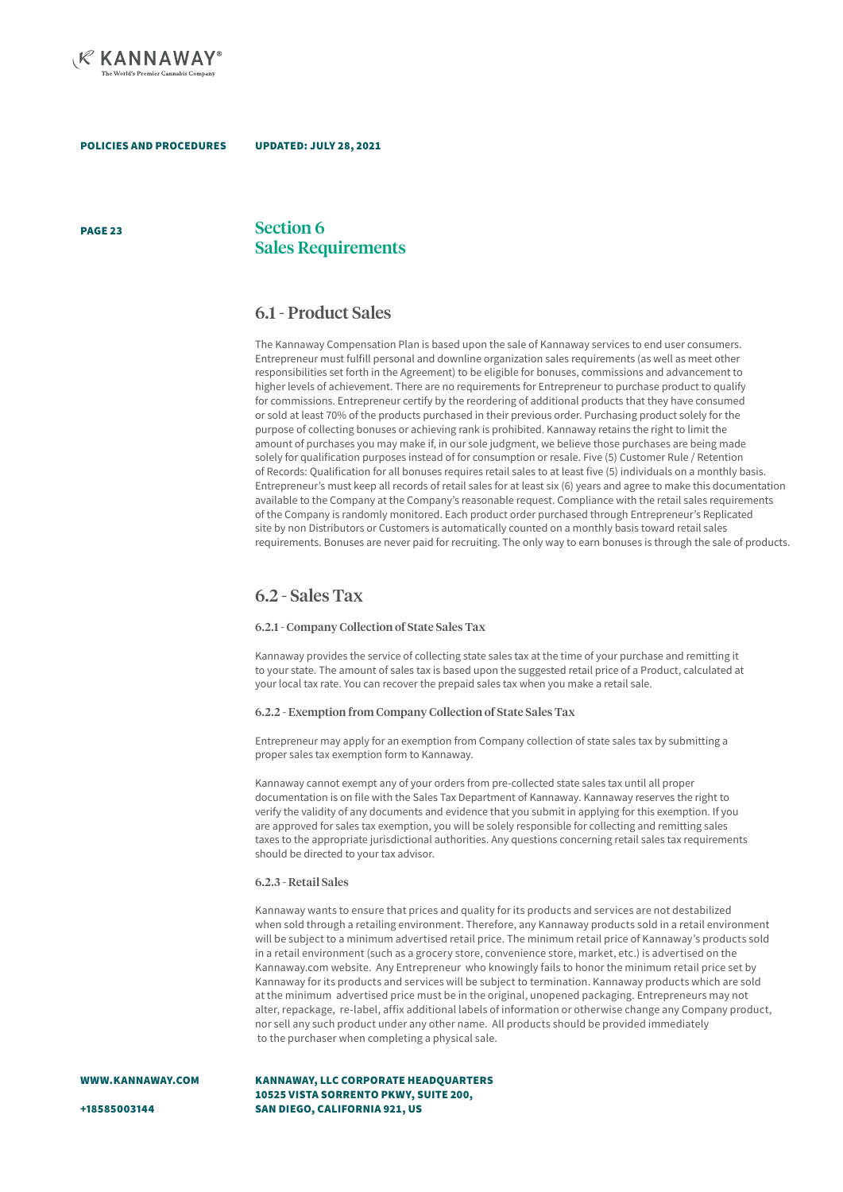

PAGE 23

## Section 6 Sales Requirements

UPDATED: JULY 28, 2021

## 6.1 - Product Sales

The Kannaway Compensation Plan is based upon the sale of Kannaway services to end user consumers. Entrepreneur must fulfill personal and downline organization sales requirements (as well as meet other responsibilities set forth in the Agreement) to be eligible for bonuses, commissions and advancement to higher levels of achievement. There are no requirements for Entrepreneur to purchase product to qualify for commissions. Entrepreneur certify by the reordering of additional products that they have consumed or sold at least 70% of the products purchased in their previous order. Purchasing product solely for the purpose of collecting bonuses or achieving rank is prohibited. Kannaway retains the right to limit the amount of purchases you may make if, in our sole judgment, we believe those purchases are being made solely for qualification purposes instead of for consumption or resale. Five (5) Customer Rule / Retention of Records: Qualification for all bonuses requires retail sales to at least five (5) individuals on a monthly basis. Entrepreneur's must keep all records of retail sales for at least six (6) years and agree to make this documentation available to the Company at the Company's reasonable request. Compliance with the retail sales requirements of the Company is randomly monitored. Each product order purchased through Entrepreneur's Replicated site by non Distributors or Customers is automatically counted on a monthly basis toward retail sales requirements. Bonuses are never paid for recruiting. The only way to earn bonuses is through the sale of products.

### 6.2 - Sales Tax

### 6.2.1 - Company Collection of State Sales Tax

Kannaway provides the service of collecting state sales tax at the time of your purchase and remitting it to your state. The amount of sales tax is based upon the suggested retail price of a Product, calculated at your local tax rate. You can recover the prepaid sales tax when you make a retail sale.

### 6.2.2 - Exemption from Company Collection of State Sales Tax

Entrepreneur may apply for an exemption from Company collection of state sales tax by submitting a proper sales tax exemption form to Kannaway.

Kannaway cannot exempt any of your orders from pre-collected state sales tax until all proper documentation is on file with the Sales Tax Department of Kannaway. Kannaway reserves the right to verify the validity of any documents and evidence that you submit in applying for this exemption. If you are approved for sales tax exemption, you will be solely responsible for collecting and remitting sales taxes to the appropriate jurisdictional authorities. Any questions concerning retail sales tax requirements should be directed to your tax advisor.

### 6.2.3 - Retail Sales

Kannaway wants to ensure that prices and quality for its products and services are not destabilized when sold through a retailing environment. Therefore, any Kannaway products sold in a retail environment will be subject to a minimum advertised retail price. The minimum retail price of Kannaway's products sold in a retail environment (such as a grocery store, convenience store, market, etc.) is advertised on the Kannaway.com website. Any Entrepreneur who knowingly fails to honor the minimum retail price set by Kannaway for its products and services will be subject to termination. Kannaway products which are sold at the minimum advertised price must be in the original, unopened packaging. Entrepreneurs may not alter, repackage, re-label, affix additional labels of information or otherwise change any Company product, nor sell any such product under any other name. All products should be provided immediately to the purchaser when completing a physical sale.

WWW.KANNAWAY.COM

KANNAWAY, LLC CORPORATE HEADQUARTERS 10525 VISTA SORRENTO PKWY, SUITE 200, SAN DIEGO, CALIFORNIA 921, US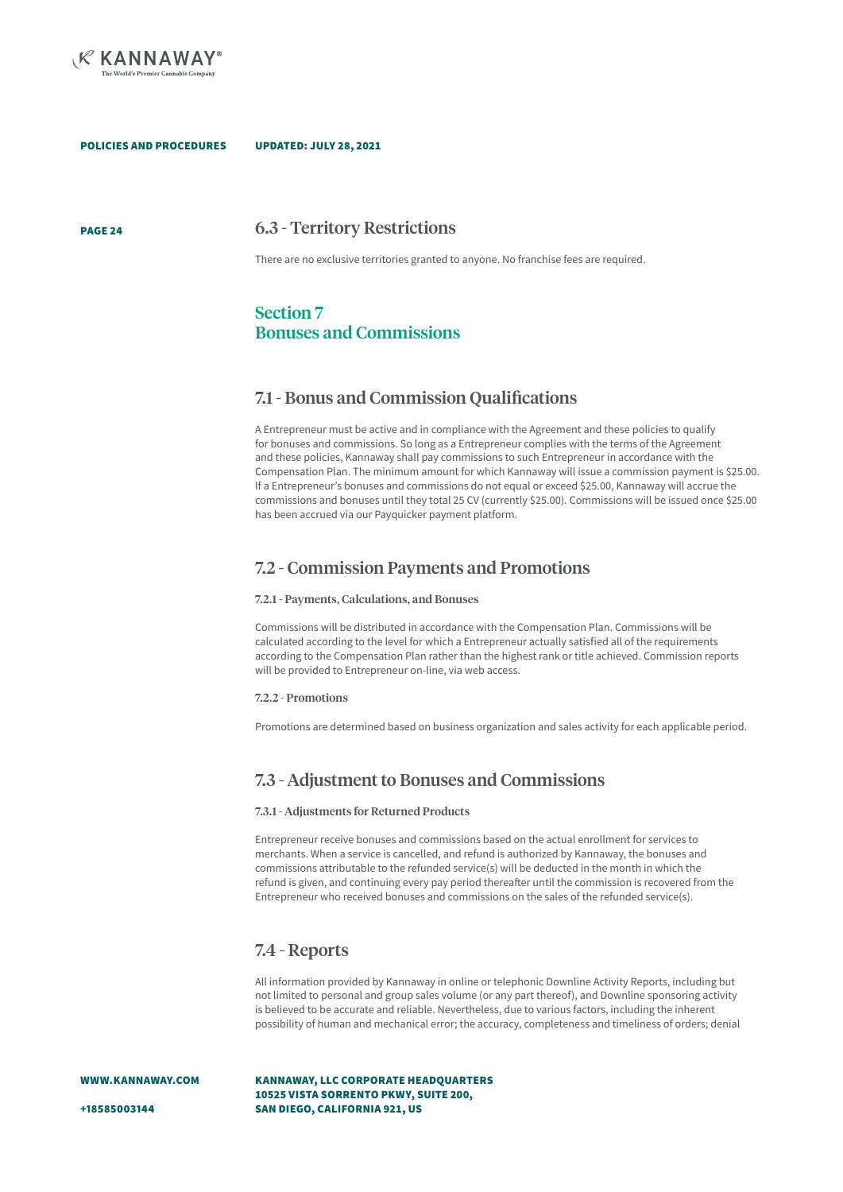

PAGE 24

### 6.3 - Territory Restrictions

There are no exclusive territories granted to anyone. No franchise fees are required.

## Section 7 Bonuses and Commissions

### 7.1 - Bonus and Commission Qualifications

A Entrepreneur must be active and in compliance with the Agreement and these policies to qualify for bonuses and commissions. So long as a Entrepreneur complies with the terms of the Agreement and these policies, Kannaway shall pay commissions to such Entrepreneur in accordance with the Compensation Plan. The minimum amount for which Kannaway will issue a commission payment is \$25.00. If a Entrepreneur's bonuses and commissions do not equal or exceed \$25.00, Kannaway will accrue the commissions and bonuses until they total 25 CV (currently \$25.00). Commissions will be issued once \$25.00 has been accrued via our Payquicker payment platform.

### 7.2 - Commission Payments and Promotions

### 7.2.1 - Payments, Calculations, and Bonuses

Commissions will be distributed in accordance with the Compensation Plan. Commissions will be calculated according to the level for which a Entrepreneur actually satisfied all of the requirements according to the Compensation Plan rather than the highest rank or title achieved. Commission reports will be provided to Entrepreneur on-line, via web access.

### 7.2.2 - Promotions

Promotions are determined based on business organization and sales activity for each applicable period.

## 7.3 - Adjustment to Bonuses and Commissions

### 7.3.1 - Adjustments for Returned Products

Entrepreneur receive bonuses and commissions based on the actual enrollment for services to merchants. When a service is cancelled, and refund is authorized by Kannaway, the bonuses and commissions attributable to the refunded service(s) will be deducted in the month in which the refund is given, and continuing every pay period thereafter until the commission is recovered from the Entrepreneur who received bonuses and commissions on the sales of the refunded service(s).

### 7.4 - Reports

All information provided by Kannaway in online or telephonic Downline Activity Reports, including but not limited to personal and group sales volume (or any part thereof), and Downline sponsoring activity is believed to be accurate and reliable. Nevertheless, due to various factors, including the inherent possibility of human and mechanical error; the accuracy, completeness and timeliness of orders; denial

WWW.KANNAWAY.COM

KANNAWAY, LLC CORPORATE HEADQUARTERS 10525 VISTA SORRENTO PKWY, SUITE 200, SAN DIEGO, CALIFORNIA 921, US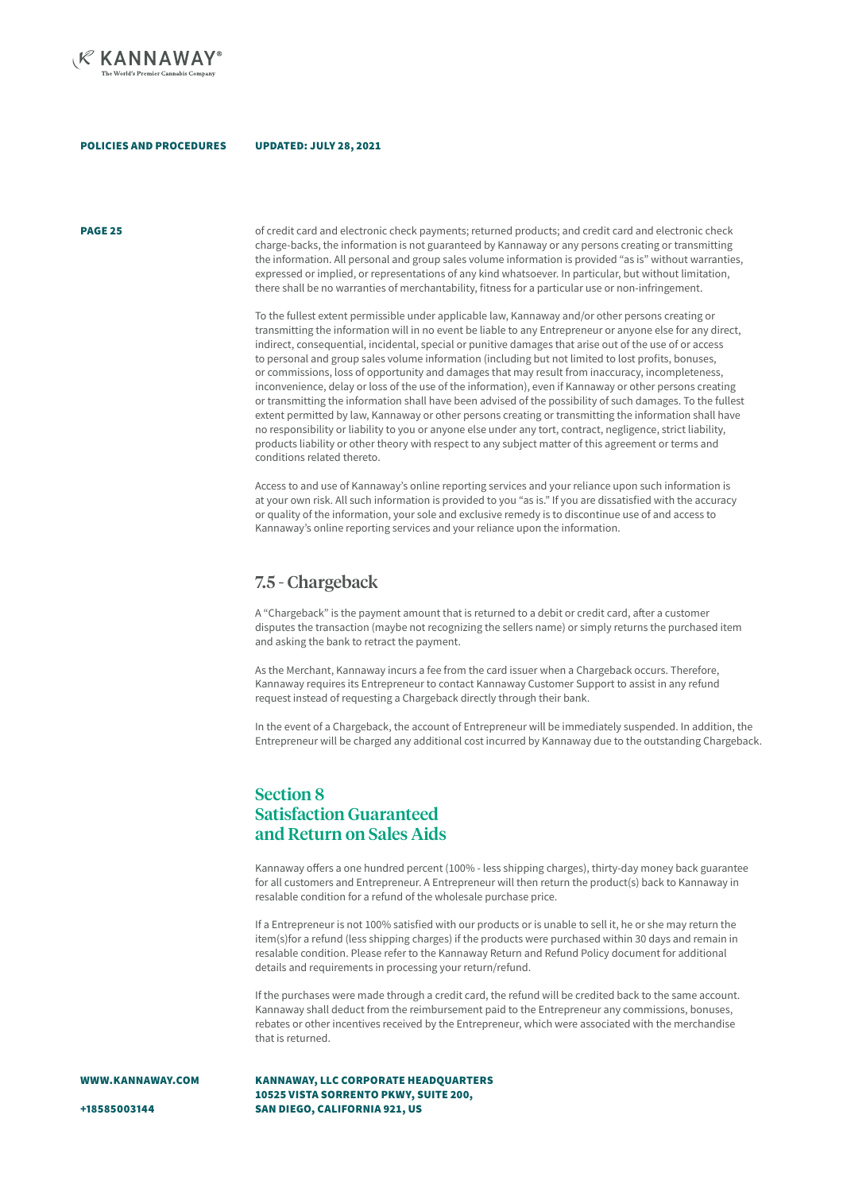

### UPDATED: JULY 28, 2021

PAGE 25

of credit card and electronic check payments; returned products; and credit card and electronic check charge-backs, the information is not guaranteed by Kannaway or any persons creating or transmitting the information. All personal and group sales volume information is provided "as is" without warranties, expressed or implied, or representations of any kind whatsoever. In particular, but without limitation, there shall be no warranties of merchantability, fitness for a particular use or non-infringement.

To the fullest extent permissible under applicable law, Kannaway and/or other persons creating or transmitting the information will in no event be liable to any Entrepreneur or anyone else for any direct, indirect, consequential, incidental, special or punitive damages that arise out of the use of or access to personal and group sales volume information (including but not limited to lost profits, bonuses, or commissions, loss of opportunity and damages that may result from inaccuracy, incompleteness, inconvenience, delay or loss of the use of the information), even if Kannaway or other persons creating or transmitting the information shall have been advised of the possibility of such damages. To the fullest extent permitted by law, Kannaway or other persons creating or transmitting the information shall have no responsibility or liability to you or anyone else under any tort, contract, negligence, strict liability, products liability or other theory with respect to any subject matter of this agreement or terms and conditions related thereto.

Access to and use of Kannaway's online reporting services and your reliance upon such information is at your own risk. All such information is provided to you "as is." If you are dissatisfied with the accuracy or quality of the information, your sole and exclusive remedy is to discontinue use of and access to Kannaway's online reporting services and your reliance upon the information.

## 7.5 - Chargeback

A "Chargeback" is the payment amount that is returned to a debit or credit card, after a customer disputes the transaction (maybe not recognizing the sellers name) or simply returns the purchased item and asking the bank to retract the payment.

As the Merchant, Kannaway incurs a fee from the card issuer when a Chargeback occurs. Therefore, Kannaway requires its Entrepreneur to contact Kannaway Customer Support to assist in any refund request instead of requesting a Chargeback directly through their bank.

In the event of a Chargeback, the account of Entrepreneur will be immediately suspended. In addition, the Entrepreneur will be charged any additional cost incurred by Kannaway due to the outstanding Chargeback.

## Section 8 Satisfaction Guaranteed and Return on Sales Aids

Kannaway offers a one hundred percent (100% - less shipping charges), thirty-day money back guarantee for all customers and Entrepreneur. A Entrepreneur will then return the product(s) back to Kannaway in resalable condition for a refund of the wholesale purchase price.

If a Entrepreneur is not 100% satisfied with our products or is unable to sell it, he or she may return the item(s)for a refund (less shipping charges) if the products were purchased within 30 days and remain in resalable condition. Please refer to the Kannaway Return and Refund Policy document for additional details and requirements in processing your return/refund.

If the purchases were made through a credit card, the refund will be credited back to the same account. Kannaway shall deduct from the reimbursement paid to the Entrepreneur any commissions, bonuses, rebates or other incentives received by the Entrepreneur, which were associated with the merchandise that is returned.

WWW.KANNAWAY.COM

KANNAWAY, LLC CORPORATE HEADQUARTERS 10525 VISTA SORRENTO PKWY, SUITE 200, SAN DIEGO, CALIFORNIA 921, US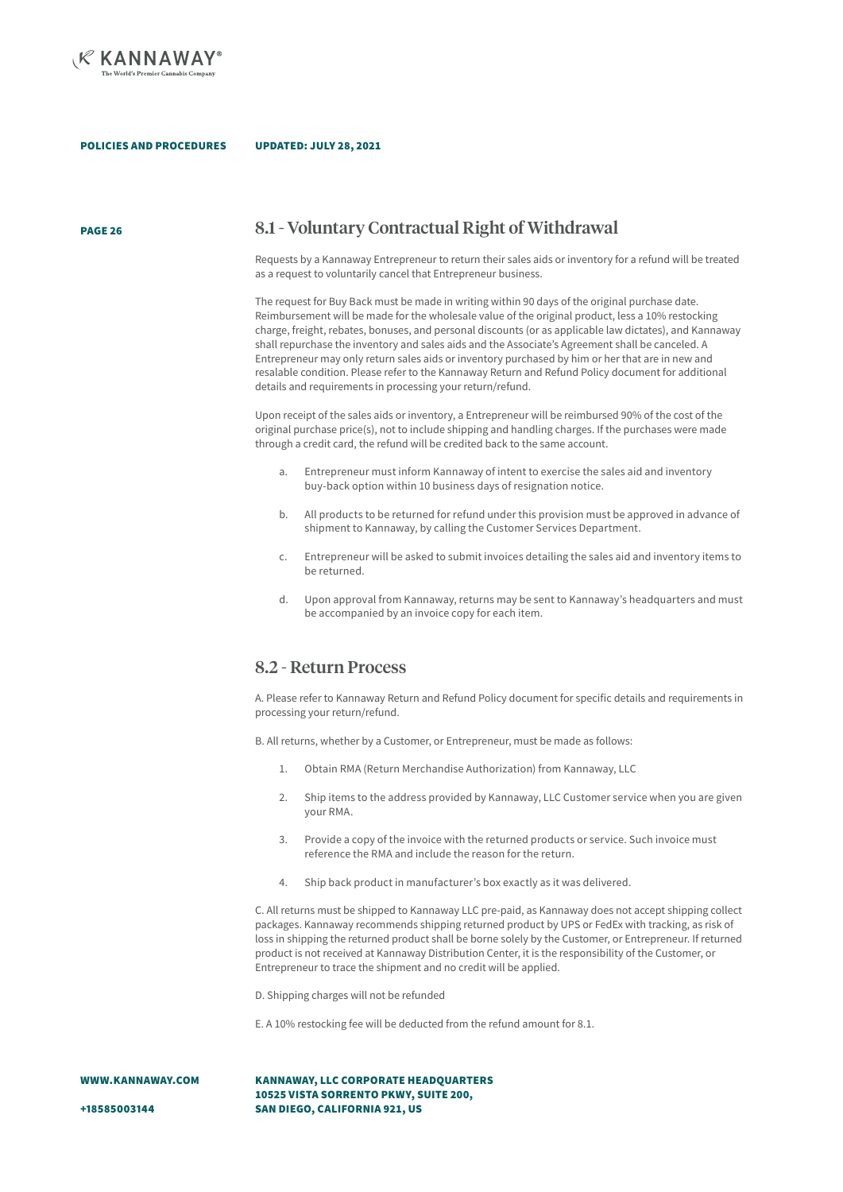

### UPDATED: JULY 28, 2021

PAGE 26

## 8.1 - Voluntary Contractual Right of Withdrawal

Requests by a Kannaway Entrepreneur to return their sales aids or inventory for a refund will be treated as a request to voluntarily cancel that Entrepreneur business.

The request for Buy Back must be made in writing within 90 days of the original purchase date. Reimbursement will be made for the wholesale value of the original product, less a 10% restocking charge, freight, rebates, bonuses, and personal discounts (or as applicable law dictates), and Kannaway shall repurchase the inventory and sales aids and the Associate's Agreement shall be canceled. A Entrepreneur may only return sales aids or inventory purchased by him or her that are in new and resalable condition. Please refer to the Kannaway Return and Refund Policy document for additional details and requirements in processing your return/refund.

Upon receipt of the sales aids or inventory, a Entrepreneur will be reimbursed 90% of the cost of the original purchase price(s), not to include shipping and handling charges. If the purchases were made through a credit card, the refund will be credited back to the same account.

- Entrepreneur must inform Kannaway of intent to exercise the sales aid and inventory buy-back option within 10 business days of resignation notice.
- b. All products to be returned for refund under this provision must be approved in advance of shipment to Kannaway, by calling the Customer Services Department.
- c. Entrepreneur will be asked to submit invoices detailing the sales aid and inventory items to be returned.
- d. Upon approval from Kannaway, returns may be sent to Kannaway's headquarters and must be accompanied by an invoice copy for each item.

## 8.2 - Return Process

A. Please refer to Kannaway Return and Refund Policy document for specific details and requirements in processing your return/refund.

B. All returns, whether by a Customer, or Entrepreneur, must be made as follows:

- 1. Obtain RMA (Return Merchandise Authorization) from Kannaway, LLC
- 2. Ship items to the address provided by Kannaway, LLC Customer service when you are given your RMA.
- 3. Provide a copy of the invoice with the returned products or service. Such invoice must reference the RMA and include the reason for the return.
- 4. Ship back product in manufacturer's box exactly as it was delivered.

C. All returns must be shipped to Kannaway LLC pre-paid, as Kannaway does not accept shipping collect packages. Kannaway recommends shipping returned product by UPS or FedEx with tracking, as risk of loss in shipping the returned product shall be borne solely by the Customer, or Entrepreneur. If returned product is not received at Kannaway Distribution Center, it is the responsibility of the Customer, or Entrepreneur to trace the shipment and no credit will be applied.

D. Shipping charges will not be refunded

E. A 10% restocking fee will be deducted from the refund amount for 8.1.

KANNAWAY, LLC CORPORATE HEADQUARTERS 10525 VISTA SORRENTO PKWY, SUITE 200, SAN DIEGO, CALIFORNIA 921, US

+18585003144

WWW.KANNAWAY.COM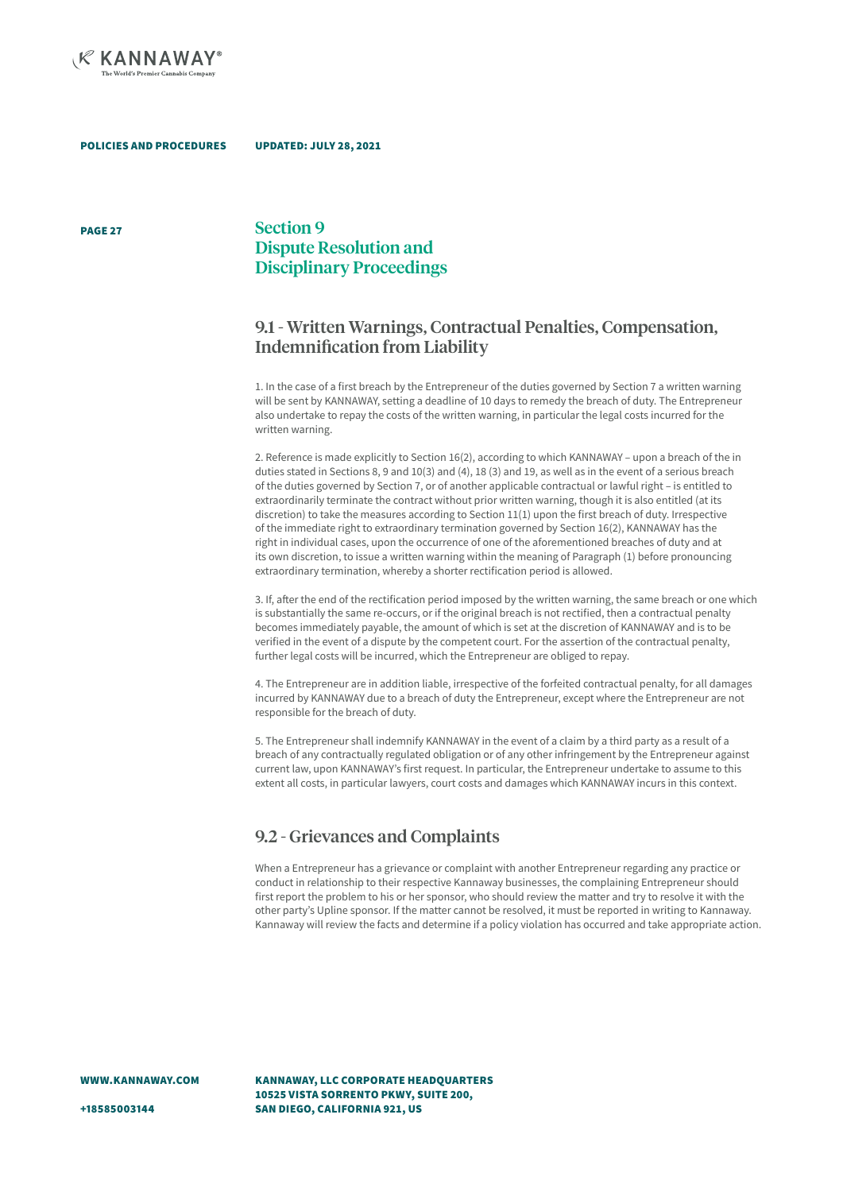

PAGE 27

## Section 9 Dispute Resolution and Disciplinary Proceedings

## 9.1 - Written Warnings, Contractual Penalties, Compensation, Indemnification from Liability

1. In the case of a first breach by the Entrepreneur of the duties governed by Section 7 a written warning will be sent by KANNAWAY, setting a deadline of 10 days to remedy the breach of duty. The Entrepreneur also undertake to repay the costs of the written warning, in particular the legal costs incurred for the written warning.

2. Reference is made explicitly to Section 16(2), according to which KANNAWAY – upon a breach of the in duties stated in Sections 8, 9 and 10(3) and (4), 18 (3) and 19, as well as in the event of a serious breach of the duties governed by Section 7, or of another applicable contractual or lawful right – is entitled to extraordinarily terminate the contract without prior written warning, though it is also entitled (at its discretion) to take the measures according to Section 11(1) upon the first breach of duty. Irrespective of the immediate right to extraordinary termination governed by Section 16(2), KANNAWAY has the right in individual cases, upon the occurrence of one of the aforementioned breaches of duty and at its own discretion, to issue a written warning within the meaning of Paragraph (1) before pronouncing extraordinary termination, whereby a shorter rectification period is allowed.

3. If, after the end of the rectification period imposed by the written warning, the same breach or one which is substantially the same re-occurs, or if the original breach is not rectified, then a contractual penalty becomes immediately payable, the amount of which is set at the discretion of KANNAWAY and is to be verified in the event of a dispute by the competent court. For the assertion of the contractual penalty, further legal costs will be incurred, which the Entrepreneur are obliged to repay.

4. The Entrepreneur are in addition liable, irrespective of the forfeited contractual penalty, for all damages incurred by KANNAWAY due to a breach of duty the Entrepreneur, except where the Entrepreneur are not responsible for the breach of duty.

5. The Entrepreneur shall indemnify KANNAWAY in the event of a claim by a third party as a result of a breach of any contractually regulated obligation or of any other infringement by the Entrepreneur against current law, upon KANNAWAY's first request. In particular, the Entrepreneur undertake to assume to this extent all costs, in particular lawyers, court costs and damages which KANNAWAY incurs in this context.

## 9.2 - Grievances and Complaints

When a Entrepreneur has a grievance or complaint with another Entrepreneur regarding any practice or conduct in relationship to their respective Kannaway businesses, the complaining Entrepreneur should first report the problem to his or her sponsor, who should review the matter and try to resolve it with the other party's Upline sponsor. If the matter cannot be resolved, it must be reported in writing to Kannaway. Kannaway will review the facts and determine if a policy violation has occurred and take appropriate action.

+18585003144

KANNAWAY, LLC CORPORATE HEADQUARTERS 10525 VISTA SORRENTO PKWY, SUITE 200, SAN DIEGO, CALIFORNIA 921, US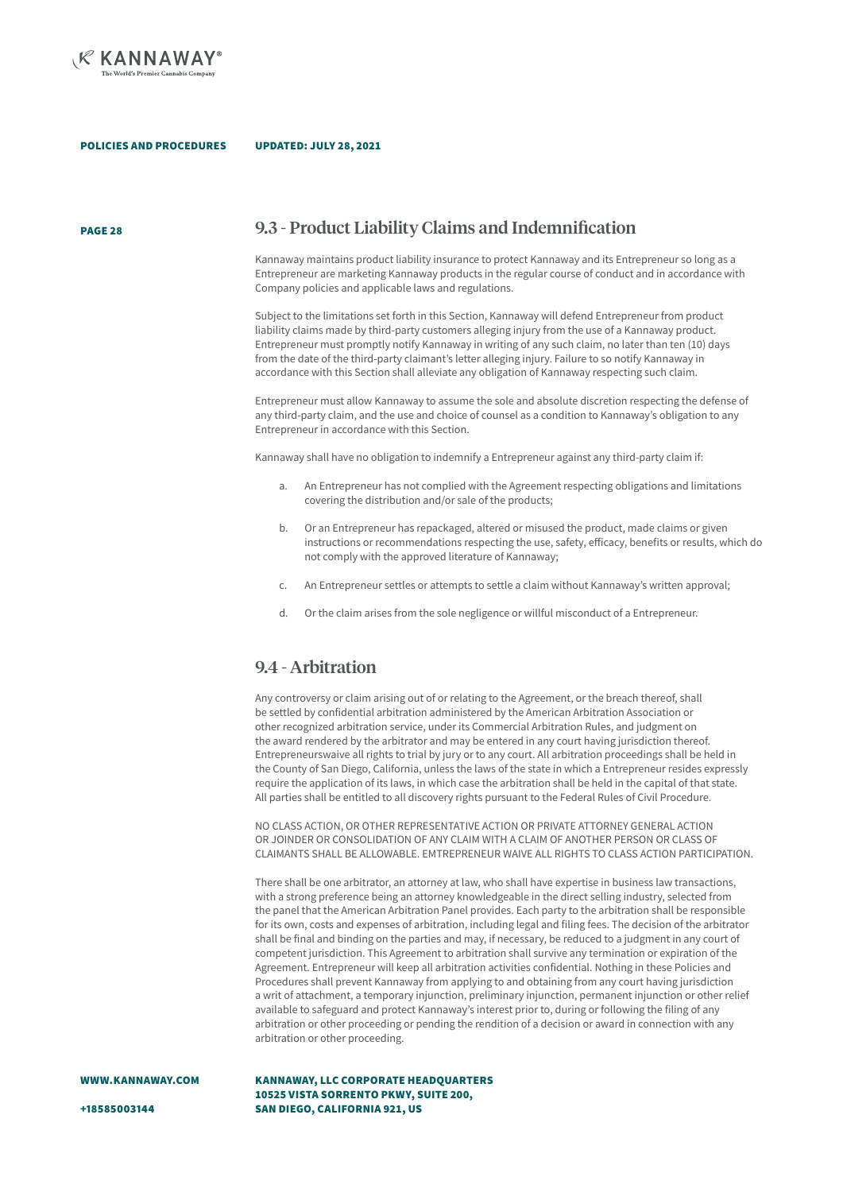

PAGE 28

## 9.3 - Product Liability Claims and Indemnification

Kannaway maintains product liability insurance to protect Kannaway and its Entrepreneur so long as a Entrepreneur are marketing Kannaway products in the regular course of conduct and in accordance with Company policies and applicable laws and regulations.

Subject to the limitations set forth in this Section, Kannaway will defend Entrepreneur from product liability claims made by third-party customers alleging injury from the use of a Kannaway product. Entrepreneur must promptly notify Kannaway in writing of any such claim, no later than ten (10) days from the date of the third-party claimant's letter alleging injury. Failure to so notify Kannaway in accordance with this Section shall alleviate any obligation of Kannaway respecting such claim.

Entrepreneur must allow Kannaway to assume the sole and absolute discretion respecting the defense of any third-party claim, and the use and choice of counsel as a condition to Kannaway's obligation to any Entrepreneur in accordance with this Section.

Kannaway shall have no obligation to indemnify a Entrepreneur against any third-party claim if:

- a. An Entrepreneur has not complied with the Agreement respecting obligations and limitations covering the distribution and/or sale of the products;
- b. Or an Entrepreneur has repackaged, altered or misused the product, made claims or given instructions or recommendations respecting the use, safety, efficacy, benefits or results, which do not comply with the approved literature of Kannaway;
- c. An Entrepreneur settles or attempts to settle a claim without Kannaway's written approval;
- d. Or the claim arises from the sole negligence or willful misconduct of a Entrepreneur.

## 9.4 - Arbitration

Any controversy or claim arising out of or relating to the Agreement, or the breach thereof, shall be settled by confidential arbitration administered by the American Arbitration Association or other recognized arbitration service, under its Commercial Arbitration Rules, and judgment on the award rendered by the arbitrator and may be entered in any court having jurisdiction thereof. Entrepreneurswaive all rights to trial by jury or to any court. All arbitration proceedings shall be held in the County of San Diego, California, unless the laws of the state in which a Entrepreneur resides expressly require the application of its laws, in which case the arbitration shall be held in the capital of that state. All parties shall be entitled to all discovery rights pursuant to the Federal Rules of Civil Procedure.

NO CLASS ACTION, OR OTHER REPRESENTATIVE ACTION OR PRIVATE ATTORNEY GENERAL ACTION OR JOINDER OR CONSOLIDATION OF ANY CLAIM WITH A CLAIM OF ANOTHER PERSON OR CLASS OF CLAIMANTS SHALL BE ALLOWABLE. EMTREPRENEUR WAIVE ALL RIGHTS TO CLASS ACTION PARTICIPATION.

There shall be one arbitrator, an attorney at law, who shall have expertise in business law transactions, with a strong preference being an attorney knowledgeable in the direct selling industry, selected from the panel that the American Arbitration Panel provides. Each party to the arbitration shall be responsible for its own, costs and expenses of arbitration, including legal and filing fees. The decision of the arbitrator shall be final and binding on the parties and may, if necessary, be reduced to a judgment in any court of competent jurisdiction. This Agreement to arbitration shall survive any termination or expiration of the Agreement. Entrepreneur will keep all arbitration activities confidential. Nothing in these Policies and Procedures shall prevent Kannaway from applying to and obtaining from any court having jurisdiction a writ of attachment, a temporary injunction, preliminary injunction, permanent injunction or other relief available to safeguard and protect Kannaway's interest prior to, during or following the filing of any arbitration or other proceeding or pending the rendition of a decision or award in connection with any arbitration or other proceeding.

WWW.KANNAWAY.COM

KANNAWAY, LLC CORPORATE HEADQUARTERS 10525 VISTA SORRENTO PKWY, SUITE 200, SAN DIEGO, CALIFORNIA 921, US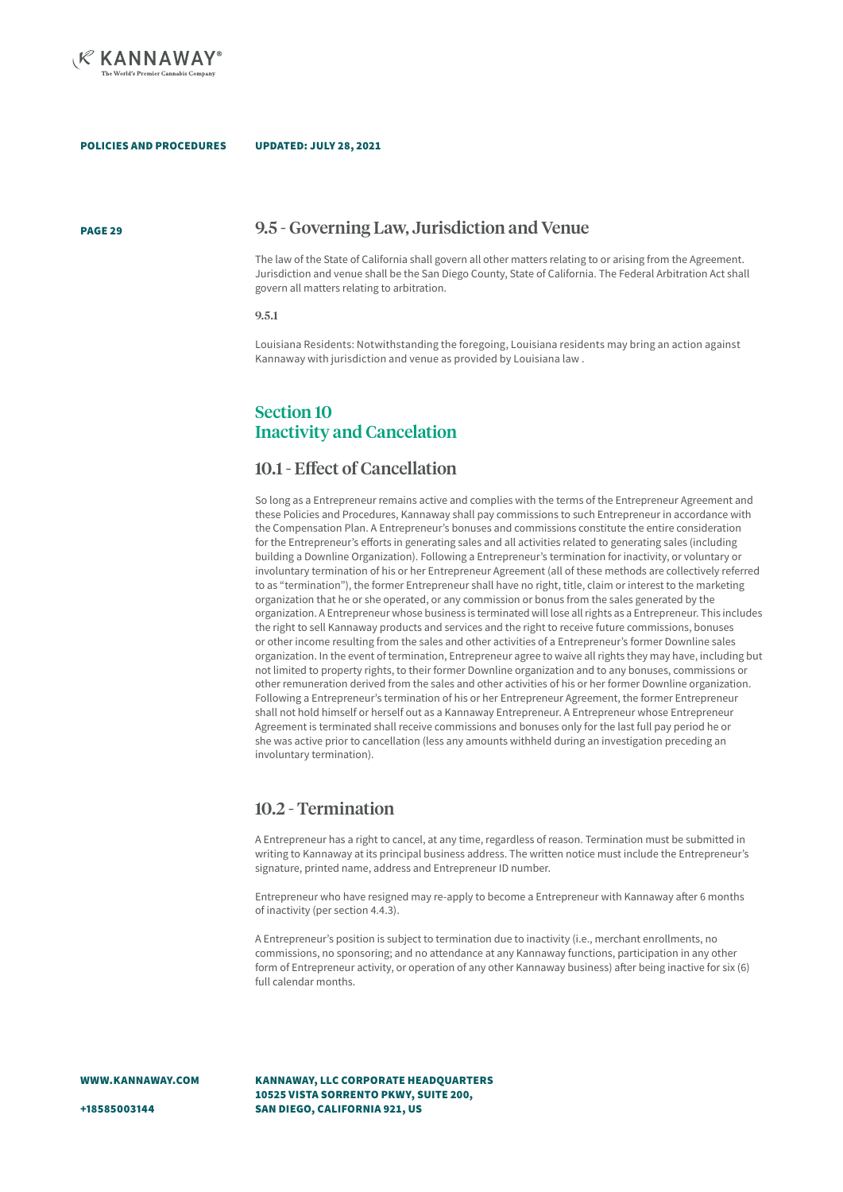

### PAGE 29 9.5 - Governing Law, Jurisdiction and Venue

The law of the State of California shall govern all other matters relating to or arising from the Agreement. Jurisdiction and venue shall be the San Diego County, State of California. The Federal Arbitration Act shall govern all matters relating to arbitration.

9.5.1

Louisiana Residents: Notwithstanding the foregoing, Louisiana residents may bring an action against Kannaway with jurisdiction and venue as provided by Louisiana law .

## Section 10 Inactivity and Cancelation

## 10.1 - Effect of Cancellation

So long as a Entrepreneur remains active and complies with the terms of the Entrepreneur Agreement and these Policies and Procedures, Kannaway shall pay commissions to such Entrepreneur in accordance with the Compensation Plan. A Entrepreneur's bonuses and commissions constitute the entire consideration for the Entrepreneur's efforts in generating sales and all activities related to generating sales (including building a Downline Organization). Following a Entrepreneur's termination for inactivity, or voluntary or involuntary termination of his or her Entrepreneur Agreement (all of these methods are collectively referred to as "termination"), the former Entrepreneur shall have no right, title, claim or interest to the marketing organization that he or she operated, or any commission or bonus from the sales generated by the organization. A Entrepreneur whose business is terminated will lose all rights as a Entrepreneur. This includes the right to sell Kannaway products and services and the right to receive future commissions, bonuses or other income resulting from the sales and other activities of a Entrepreneur's former Downline sales organization. In the event of termination, Entrepreneur agree to waive all rights they may have, including but not limited to property rights, to their former Downline organization and to any bonuses, commissions or other remuneration derived from the sales and other activities of his or her former Downline organization. Following a Entrepreneur's termination of his or her Entrepreneur Agreement, the former Entrepreneur shall not hold himself or herself out as a Kannaway Entrepreneur. A Entrepreneur whose Entrepreneur Agreement is terminated shall receive commissions and bonuses only for the last full pay period he or she was active prior to cancellation (less any amounts withheld during an investigation preceding an involuntary termination).

### 10.2 - Termination

A Entrepreneur has a right to cancel, at any time, regardless of reason. Termination must be submitted in writing to Kannaway at its principal business address. The written notice must include the Entrepreneur's signature, printed name, address and Entrepreneur ID number.

Entrepreneur who have resigned may re-apply to become a Entrepreneur with Kannaway after 6 months of inactivity (per section 4.4.3).

A Entrepreneur's position is subject to termination due to inactivity (i.e., merchant enrollments, no commissions, no sponsoring; and no attendance at any Kannaway functions, participation in any other form of Entrepreneur activity, or operation of any other Kannaway business) after being inactive for six (6) full calendar months.

WWW.KANNAWAY.COM

KANNAWAY, LLC CORPORATE HEADQUARTERS 10525 VISTA SORRENTO PKWY, SUITE 200, SAN DIEGO, CALIFORNIA 921, US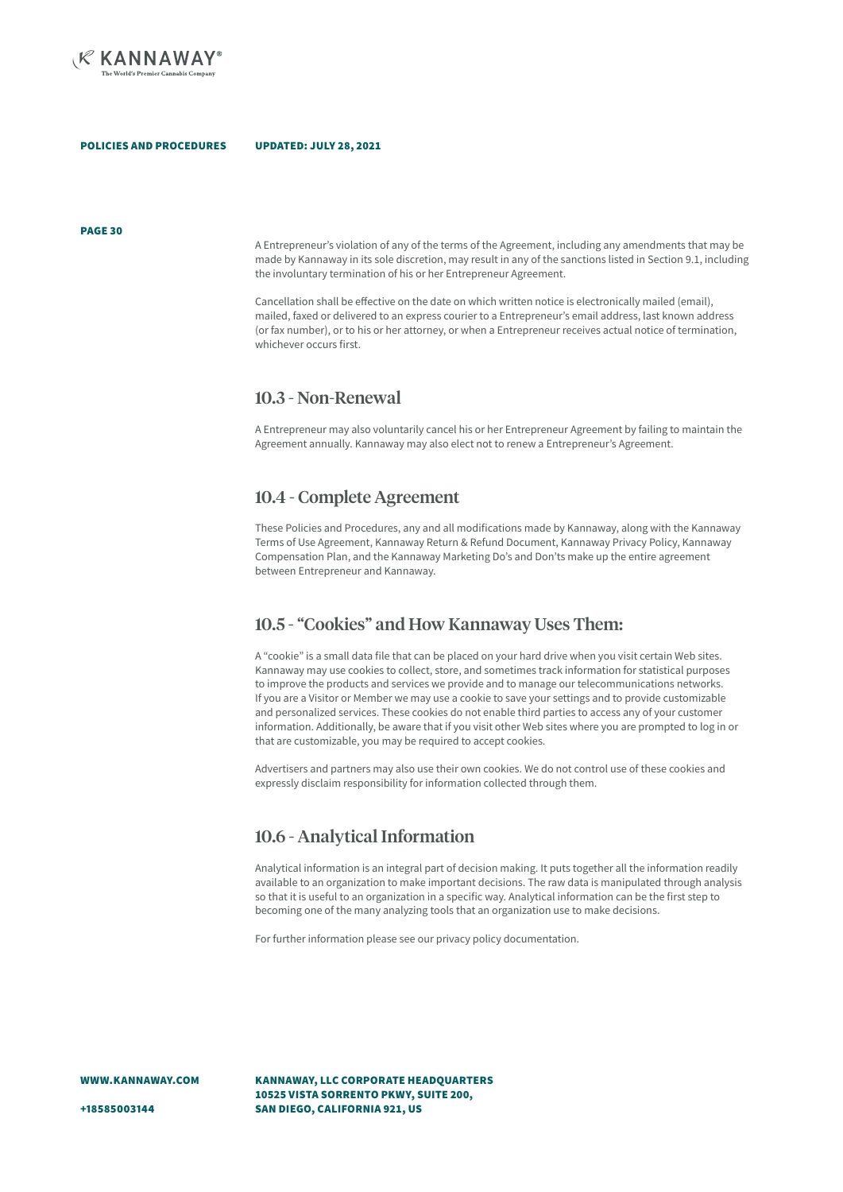

PAGE 30

A Entrepreneur's violation of any of the terms of the Agreement, including any amendments that may be made by Kannaway in its sole discretion, may result in any of the sanctions listed in Section 9.1, including the involuntary termination of his or her Entrepreneur Agreement.

Cancellation shall be effective on the date on which written notice is electronically mailed (email), mailed, faxed or delivered to an express courier to a Entrepreneur's email address, last known address (or fax number), or to his or her attorney, or when a Entrepreneur receives actual notice of termination, whichever occurs first.

### 10.3 - Non-Renewal

A Entrepreneur may also voluntarily cancel his or her Entrepreneur Agreement by failing to maintain the Agreement annually. Kannaway may also elect not to renew a Entrepreneur's Agreement.

## 10.4 - Complete Agreement

These Policies and Procedures, any and all modifications made by Kannaway, along with the Kannaway Terms of Use Agreement, Kannaway Return & Refund Document, Kannaway Privacy Policy, Kannaway Compensation Plan, and the Kannaway Marketing Do's and Don'ts make up the entire agreement between Entrepreneur and Kannaway.

## 10.5 - "Cookies" and How Kannaway Uses Them:

A "cookie" is a small data file that can be placed on your hard drive when you visit certain Web sites. Kannaway may use cookies to collect, store, and sometimes track information for statistical purposes to improve the products and services we provide and to manage our telecommunications networks. If you are a Visitor or Member we may use a cookie to save your settings and to provide customizable and personalized services. These cookies do not enable third parties to access any of your customer information. Additionally, be aware that if you visit other Web sites where you are prompted to log in or that are customizable, you may be required to accept cookies.

Advertisers and partners may also use their own cookies. We do not control use of these cookies and expressly disclaim responsibility for information collected through them.

## 10.6 - Analytical Information

Analytical information is an integral part of decision making. It puts together all the information readily available to an organization to make important decisions. The raw data is manipulated through analysis so that it is useful to an organization in a specific way. Analytical information can be the first step to becoming one of the many analyzing tools that an organization use to make decisions.

For further information please see our privacy policy documentation.

WWW.KANNAWAY.COM

KANNAWAY, LLC CORPORATE HEADQUARTERS 10525 VISTA SORRENTO PKWY, SUITE 200, SAN DIEGO, CALIFORNIA 921, US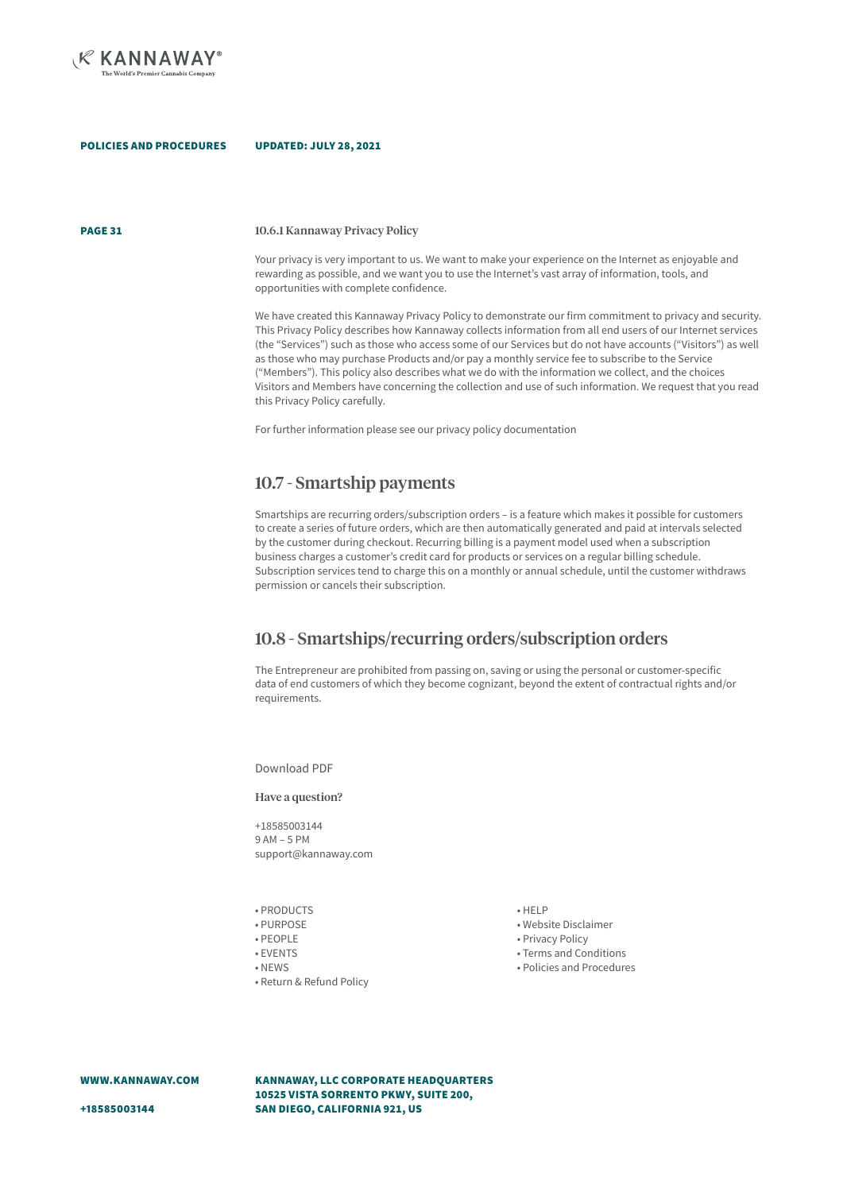

PAGE 31

### 10.6.1 Kannaway Privacy Policy

Your privacy is very important to us. We want to make your experience on the Internet as enjoyable and rewarding as possible, and we want you to use the Internet's vast array of information, tools, and opportunities with complete confidence.

We have created this Kannaway Privacy Policy to demonstrate our firm commitment to privacy and security. This Privacy Policy describes how Kannaway collects information from all end users of our Internet services (the "Services") such as those who access some of our Services but do not have accounts ("Visitors") as well as those who may purchase Products and/or pay a monthly service fee to subscribe to the Service ("Members"). This policy also describes what we do with the information we collect, and the choices Visitors and Members have concerning the collection and use of such information. We request that you read this Privacy Policy carefully.

For further information please see our privacy policy documentation

### 10.7 - Smartship payments

Smartships are recurring orders/subscription orders – is a feature which makes it possible for customers to create a series of future orders, which are then automatically generated and paid at intervals selected by the customer during checkout. Recurring billing is a payment model used when a subscription business charges a customer's credit card for products or services on a regular billing schedule. Subscription services tend to charge this on a monthly or annual schedule, until the customer withdraws permission or cancels their subscription.

## 10.8 - Smartships/recurring orders/subscription orders

The Entrepreneur are prohibited from passing on, saving or using the personal or customer-specific data of end customers of which they become cognizant, beyond the extent of contractual rights and/or requirements.

Download PDF

Have a question?

+18585003144 9 AM – 5 PM support@kannaway.com

- PRODUCTS
- PURPOSE
- PEOPLE
- EVENTS
- NEWS
- Return & Refund Policy

• HELP

- Website Disclaimer
- Privacy Policy
- Terms and Conditions
- Policies and Procedures

WWW.KANNAWAY.COM

KANNAWAY, LLC CORPORATE HEADQUARTERS 10525 VISTA SORRENTO PKWY, SUITE 200, SAN DIEGO, CALIFORNIA 921, US